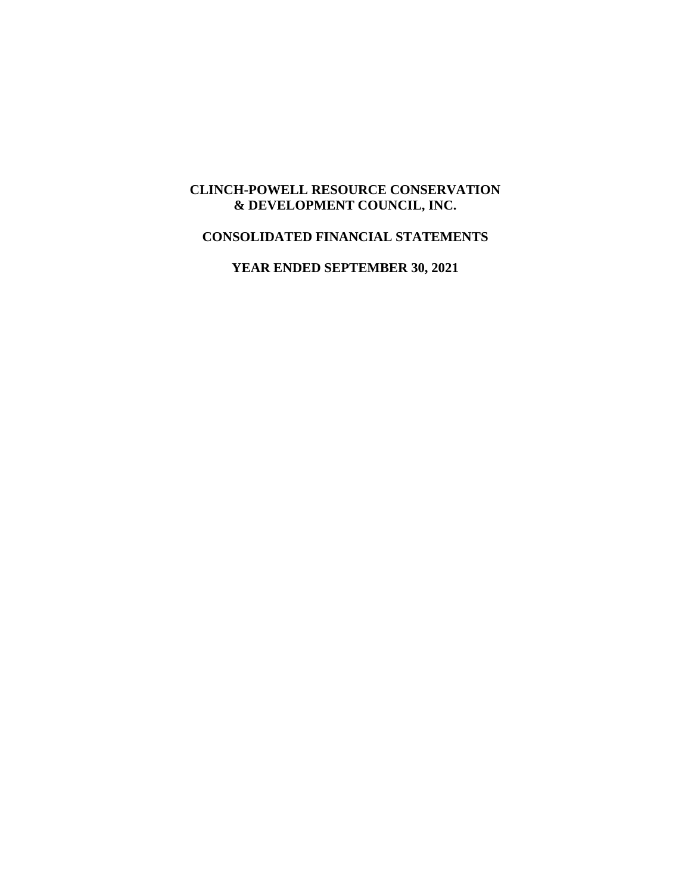# **CLINCH-POWELL RESOURCE CONSERVATION & DEVELOPMENT COUNCIL, INC.**

# **CONSOLIDATED FINANCIAL STATEMENTS**

**YEAR ENDED SEPTEMBER 30, 2021**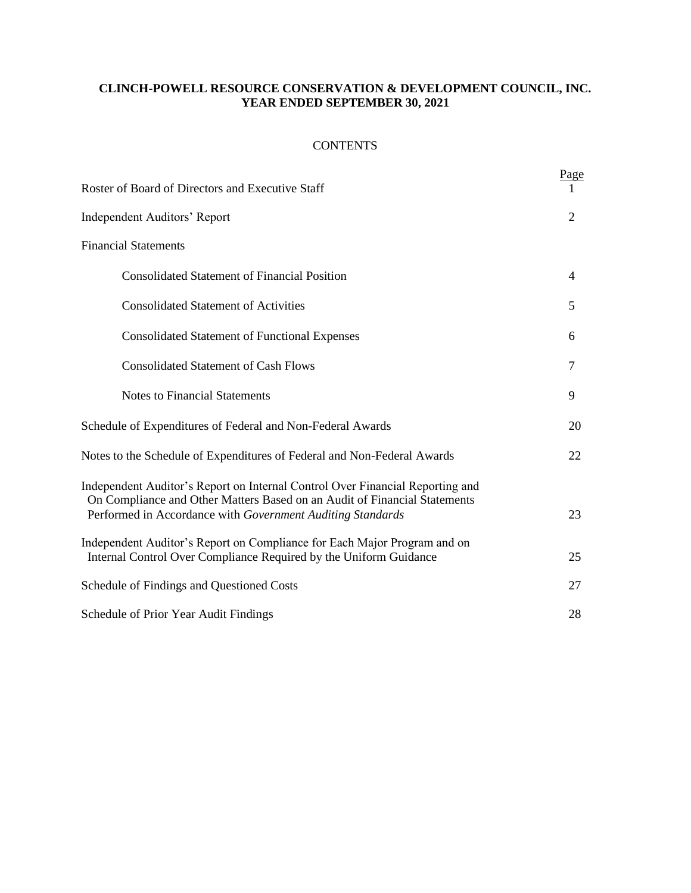## **CLINCH-POWELL RESOURCE CONSERVATION & DEVELOPMENT COUNCIL, INC. YEAR ENDED SEPTEMBER 30, 2021**

## **CONTENTS**

| Roster of Board of Directors and Executive Staff                                                                                                                                                                         | Page |
|--------------------------------------------------------------------------------------------------------------------------------------------------------------------------------------------------------------------------|------|
| Independent Auditors' Report                                                                                                                                                                                             | 2    |
| <b>Financial Statements</b>                                                                                                                                                                                              |      |
| <b>Consolidated Statement of Financial Position</b>                                                                                                                                                                      | 4    |
| <b>Consolidated Statement of Activities</b>                                                                                                                                                                              | 5    |
| <b>Consolidated Statement of Functional Expenses</b>                                                                                                                                                                     | 6    |
| <b>Consolidated Statement of Cash Flows</b>                                                                                                                                                                              | 7    |
| <b>Notes to Financial Statements</b>                                                                                                                                                                                     | 9    |
| Schedule of Expenditures of Federal and Non-Federal Awards                                                                                                                                                               | 20   |
| Notes to the Schedule of Expenditures of Federal and Non-Federal Awards                                                                                                                                                  | 22   |
| Independent Auditor's Report on Internal Control Over Financial Reporting and<br>On Compliance and Other Matters Based on an Audit of Financial Statements<br>Performed in Accordance with Government Auditing Standards | 23   |
| Independent Auditor's Report on Compliance for Each Major Program and on<br>Internal Control Over Compliance Required by the Uniform Guidance                                                                            | 25   |
| Schedule of Findings and Questioned Costs                                                                                                                                                                                | 27   |
| Schedule of Prior Year Audit Findings                                                                                                                                                                                    | 28   |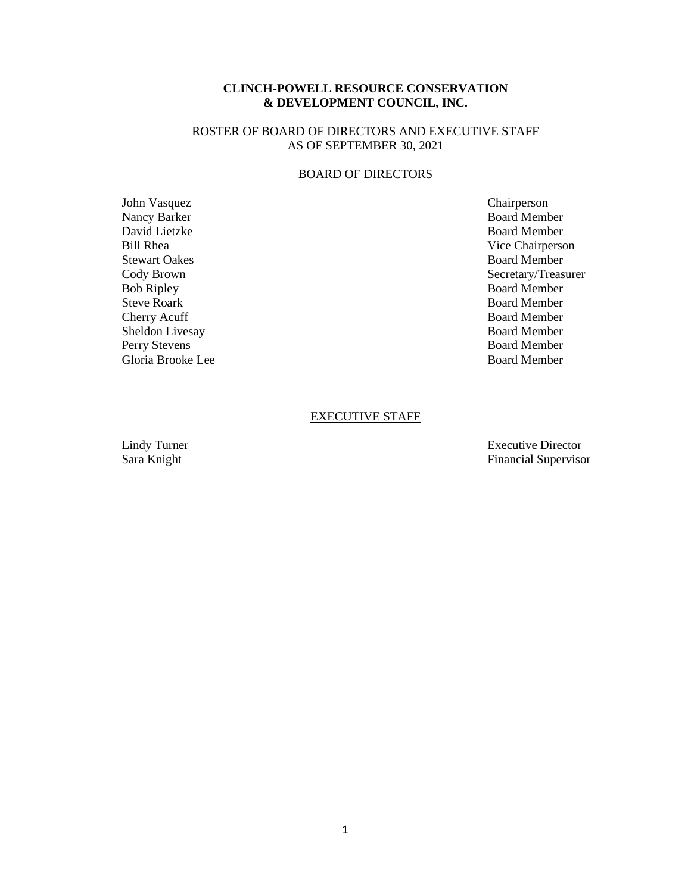#### **CLINCH-POWELL RESOURCE CONSERVATION & DEVELOPMENT COUNCIL, INC.**

## ROSTER OF BOARD OF DIRECTORS AND EXECUTIVE STAFF AS OF SEPTEMBER 30, 2021

#### BOARD OF DIRECTORS

John Vasquez Chairperson<br>
Nancy Barker Board Member Nancy Barker Board Member<br>
David Lietzke Board Member<br>
Board Member David Lietzke Stewart Oakes **Board Member** Board Member Bob Ripley Board Member Steve Roark Board Member Cherry Acuff Board Member Sheldon Livesay Board Member<br>
Perry Stevens Board Member<br>
Board Member Perry Stevens Gloria Brooke Lee Board Member

Bill Rhea Vice Chairperson Cody Brown Secretary/Treasurer

#### EXECUTIVE STAFF

Lindy Turner Executive Director<br>
Sara Knight Financial Superviso Financial Supervisor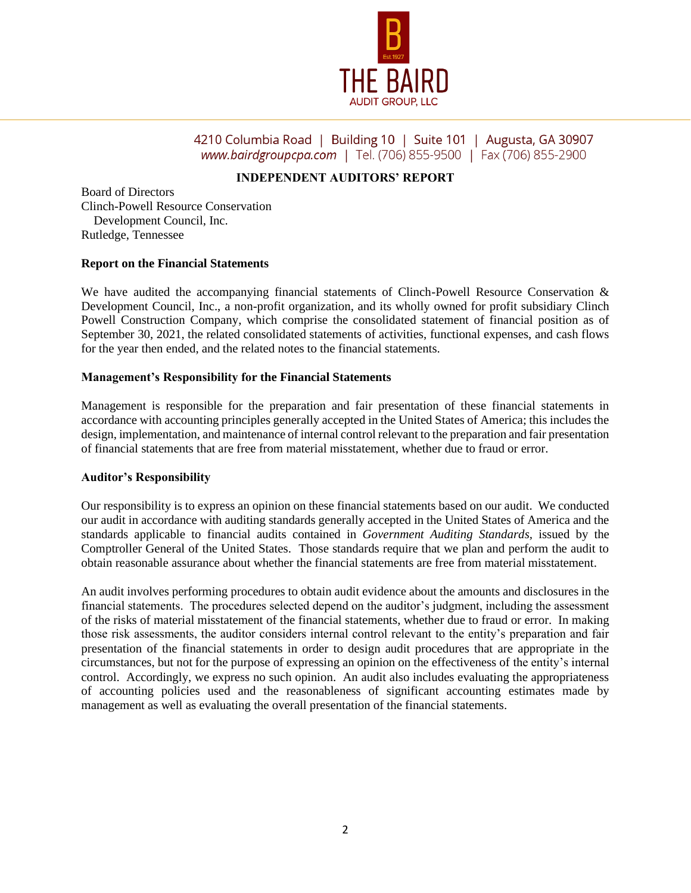

# 4210 Columbia Road | Building 10 | Suite 101 | Augusta, GA 30907 www.bairdgroupcpa.com | Tel. (706) 855-9500 | Fax (706) 855-2900

## **INDEPENDENT AUDITORS' REPORT**

Board of Directors Clinch-Powell Resource Conservation Development Council, Inc. Rutledge, Tennessee

#### **Report on the Financial Statements**

We have audited the accompanying financial statements of Clinch-Powell Resource Conservation  $\&$ Development Council, Inc., a non-profit organization, and its wholly owned for profit subsidiary Clinch Powell Construction Company, which comprise the consolidated statement of financial position as of September 30, 2021, the related consolidated statements of activities, functional expenses, and cash flows for the year then ended, and the related notes to the financial statements.

#### **Management's Responsibility for the Financial Statements**

Management is responsible for the preparation and fair presentation of these financial statements in accordance with accounting principles generally accepted in the United States of America; this includes the design, implementation, and maintenance of internal control relevant to the preparation and fair presentation of financial statements that are free from material misstatement, whether due to fraud or error.

#### **Auditor's Responsibility**

Our responsibility is to express an opinion on these financial statements based on our audit. We conducted our audit in accordance with auditing standards generally accepted in the United States of America and the standards applicable to financial audits contained in *Government Auditing Standards,* issued by the Comptroller General of the United States. Those standards require that we plan and perform the audit to obtain reasonable assurance about whether the financial statements are free from material misstatement.

An audit involves performing procedures to obtain audit evidence about the amounts and disclosures in the financial statements. The procedures selected depend on the auditor's judgment, including the assessment of the risks of material misstatement of the financial statements, whether due to fraud or error. In making those risk assessments, the auditor considers internal control relevant to the entity's preparation and fair presentation of the financial statements in order to design audit procedures that are appropriate in the circumstances, but not for the purpose of expressing an opinion on the effectiveness of the entity's internal control. Accordingly, we express no such opinion. An audit also includes evaluating the appropriateness of accounting policies used and the reasonableness of significant accounting estimates made by management as well as evaluating the overall presentation of the financial statements.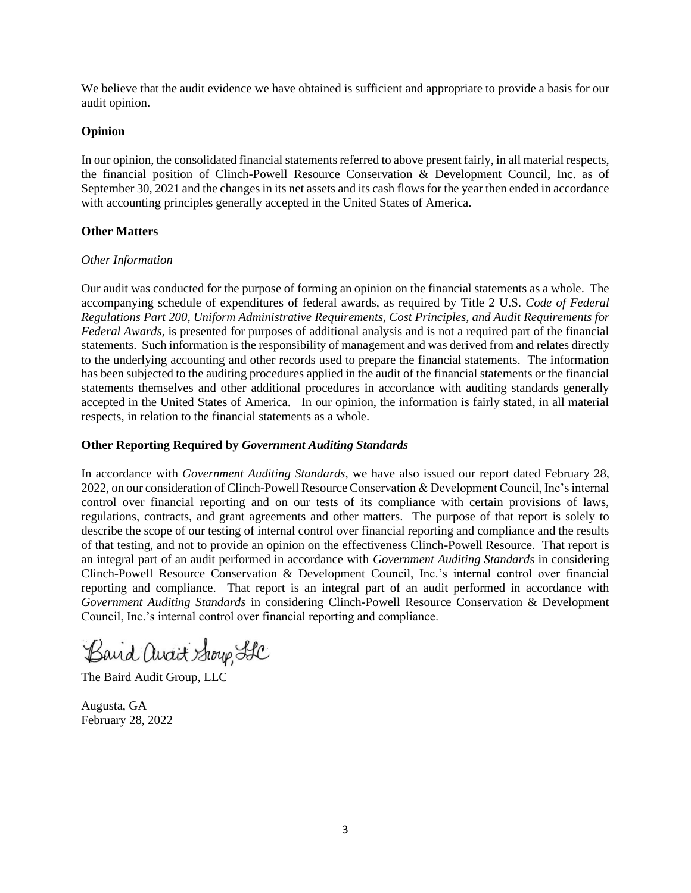We believe that the audit evidence we have obtained is sufficient and appropriate to provide a basis for our audit opinion.

## **Opinion**

In our opinion, the consolidated financial statements referred to above present fairly, in all material respects, the financial position of Clinch-Powell Resource Conservation & Development Council, Inc. as of September 30, 2021 and the changes in its net assets and its cash flows for the year then ended in accordance with accounting principles generally accepted in the United States of America.

## **Other Matters**

## *Other Information*

Our audit was conducted for the purpose of forming an opinion on the financial statements as a whole. The accompanying schedule of expenditures of federal awards, as required by Title 2 U.S. *Code of Federal Regulations Part 200, Uniform Administrative Requirements, Cost Principles, and Audit Requirements for Federal Awards*, is presented for purposes of additional analysis and is not a required part of the financial statements. Such information is the responsibility of management and was derived from and relates directly to the underlying accounting and other records used to prepare the financial statements. The information has been subjected to the auditing procedures applied in the audit of the financial statements or the financial statements themselves and other additional procedures in accordance with auditing standards generally accepted in the United States of America. In our opinion, the information is fairly stated, in all material respects, in relation to the financial statements as a whole.

## **Other Reporting Required by** *Government Auditing Standards*

In accordance with *Government Auditing Standards,* we have also issued our report dated February 28, 2022, on our consideration of Clinch-Powell Resource Conservation & Development Council, Inc's internal control over financial reporting and on our tests of its compliance with certain provisions of laws, regulations, contracts, and grant agreements and other matters. The purpose of that report is solely to describe the scope of our testing of internal control over financial reporting and compliance and the results of that testing, and not to provide an opinion on the effectiveness Clinch-Powell Resource. That report is an integral part of an audit performed in accordance with *Government Auditing Standards* in considering Clinch-Powell Resource Conservation & Development Council, Inc.'s internal control over financial reporting and compliance. That report is an integral part of an audit performed in accordance with *Government Auditing Standards* in considering Clinch-Powell Resource Conservation & Development Council, Inc.'s internal control over financial reporting and compliance.

Barrd audit Storp, SLC

The Baird Audit Group, LLC

Augusta, GA February 28, 2022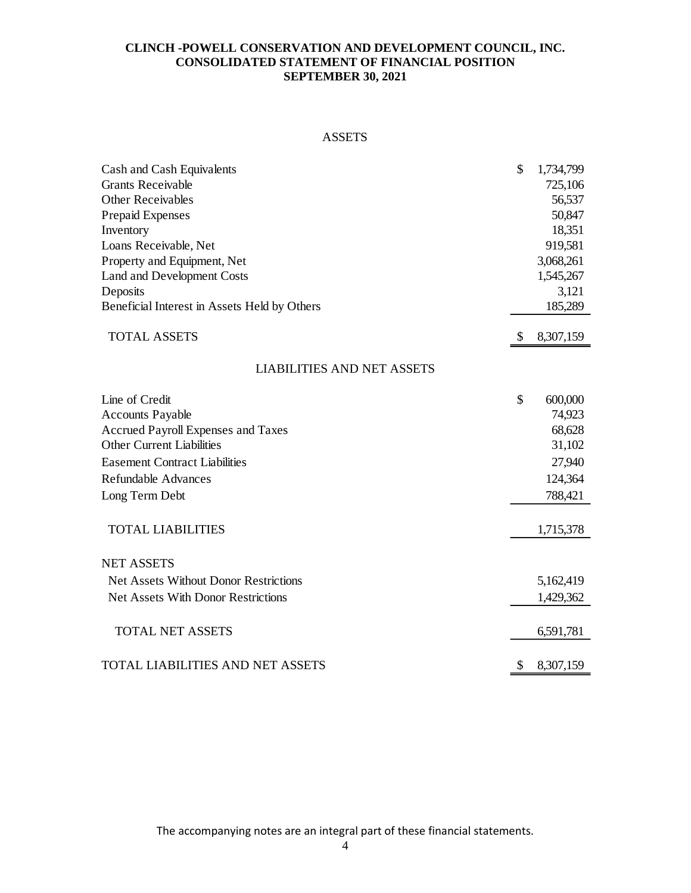## **CLINCH -POWELL CONSERVATION AND DEVELOPMENT COUNCIL, INC. CONSOLIDATED STATEMENT OF FINANCIAL POSITION SEPTEMBER 30, 2021**

## **ASSETS**

| Cash and Cash Equivalents                    | \$<br>1,734,799 |
|----------------------------------------------|-----------------|
| <b>Grants Receivable</b>                     | 725,106         |
| <b>Other Receivables</b>                     | 56,537          |
| Prepaid Expenses                             | 50,847          |
| Inventory                                    | 18,351          |
| Loans Receivable, Net                        | 919,581         |
| Property and Equipment, Net                  | 3,068,261       |
| Land and Development Costs                   | 1,545,267       |
| Deposits                                     | 3,121           |
| Beneficial Interest in Assets Held by Others | 185,289         |
| <b>TOTAL ASSETS</b>                          | \$<br>8,307,159 |
| <b>LIABILITIES AND NET ASSETS</b>            |                 |
| Line of Credit                               | \$<br>600,000   |
| <b>Accounts Payable</b>                      | 74,923          |
| Accrued Payroll Expenses and Taxes           | 68,628          |
| <b>Other Current Liabilities</b>             | 31,102          |
| <b>Easement Contract Liabilities</b>         | 27,940          |
| <b>Refundable Advances</b>                   | 124,364         |
| Long Term Debt                               | 788,421         |
| <b>TOTAL LIABILITIES</b>                     | 1,715,378       |
| <b>NET ASSETS</b>                            |                 |
| <b>Net Assets Without Donor Restrictions</b> | 5,162,419       |
| <b>Net Assets With Donor Restrictions</b>    | 1,429,362       |
| <b>TOTAL NET ASSETS</b>                      | 6,591,781       |
| TOTAL LIABILITIES AND NET ASSETS             | \$<br>8,307,159 |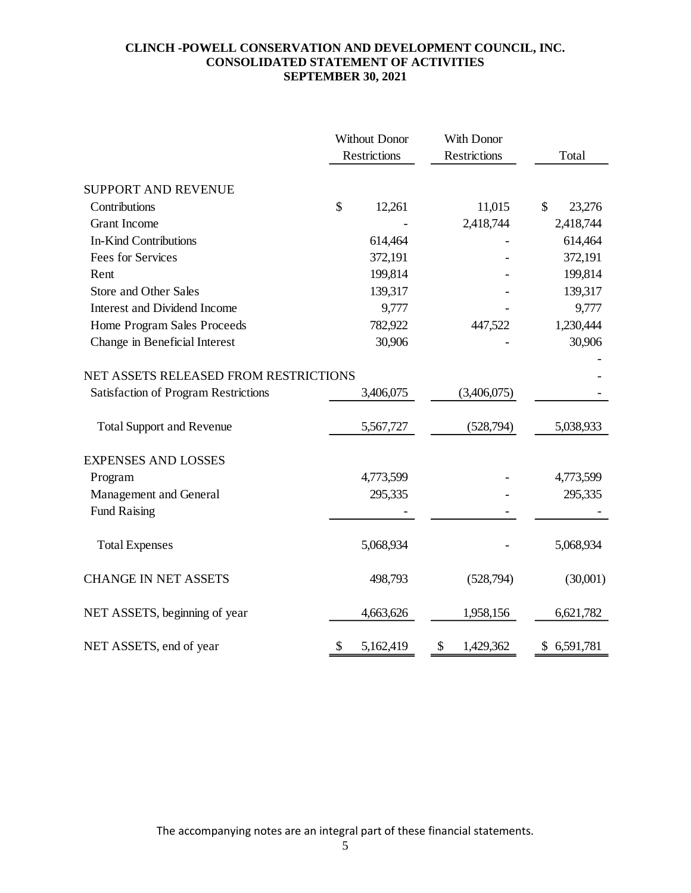## **CLINCH -POWELL CONSERVATION AND DEVELOPMENT COUNCIL, INC. CONSOLIDATED STATEMENT OF ACTIVITIES SEPTEMBER 30, 2021**

|                                       | Without Donor   | With Donor      |              |
|---------------------------------------|-----------------|-----------------|--------------|
|                                       | Restrictions    | Restrictions    | Total        |
| <b>SUPPORT AND REVENUE</b>            |                 |                 |              |
| Contributions                         | \$<br>12,261    | 11,015          | \$<br>23,276 |
| <b>Grant Income</b>                   |                 | 2,418,744       | 2,418,744    |
| <b>In-Kind Contributions</b>          | 614,464         |                 | 614,464      |
| <b>Fees for Services</b>              | 372,191         |                 | 372,191      |
| Rent                                  | 199,814         |                 | 199,814      |
| <b>Store and Other Sales</b>          | 139,317         |                 | 139,317      |
| <b>Interest and Dividend Income</b>   | 9,777           |                 | 9,777        |
| Home Program Sales Proceeds           | 782,922         | 447,522         | 1,230,444    |
| Change in Beneficial Interest         | 30,906          |                 | 30,906       |
| NET ASSETS RELEASED FROM RESTRICTIONS |                 |                 |              |
| Satisfaction of Program Restrictions  | 3,406,075       | (3,406,075)     |              |
| <b>Total Support and Revenue</b>      | 5,567,727       | (528, 794)      | 5,038,933    |
| <b>EXPENSES AND LOSSES</b>            |                 |                 |              |
| Program                               | 4,773,599       |                 | 4,773,599    |
| Management and General                | 295,335         |                 | 295,335      |
| <b>Fund Raising</b>                   |                 |                 |              |
| <b>Total Expenses</b>                 | 5,068,934       |                 | 5,068,934    |
| <b>CHANGE IN NET ASSETS</b>           | 498,793         | (528, 794)      | (30,001)     |
| NET ASSETS, beginning of year         | 4,663,626       | 1,958,156       | 6,621,782    |
| NET ASSETS, end of year               | \$<br>5,162,419 | \$<br>1,429,362 | \$ 6,591,781 |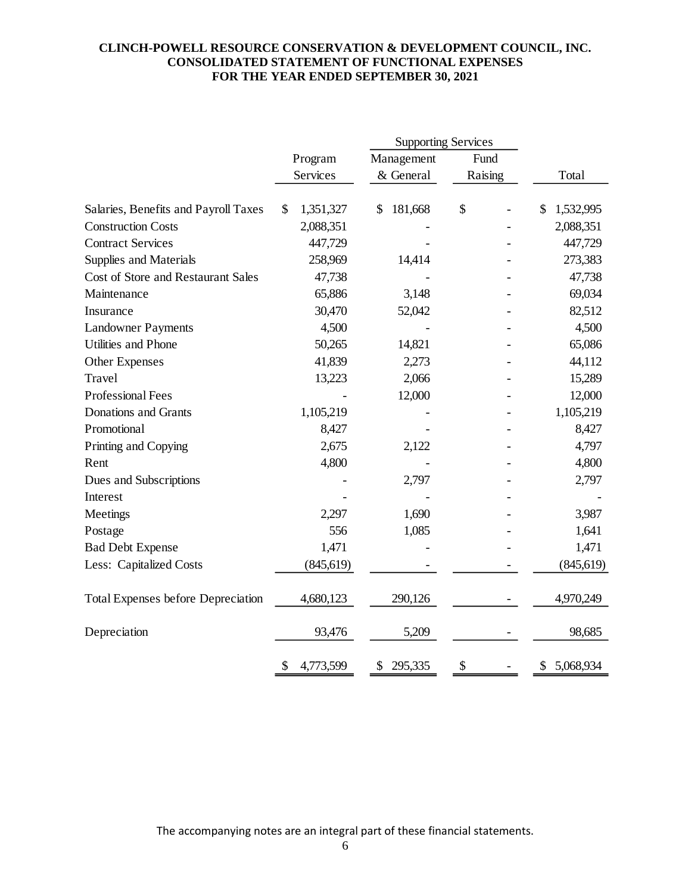## **CLINCH-POWELL RESOURCE CONSERVATION & DEVELOPMENT COUNCIL, INC. CONSOLIDATED STATEMENT OF FUNCTIONAL EXPENSES FOR THE YEAR ENDED SEPTEMBER 30, 2021**

|                                           | <b>Supporting Services</b> |               |         |                 |
|-------------------------------------------|----------------------------|---------------|---------|-----------------|
|                                           | Program                    | Management    | Fund    |                 |
|                                           | Services                   | & General     | Raising | Total           |
| Salaries, Benefits and Payroll Taxes      | 1,351,327<br>\$            | 181,668<br>\$ | \$      | \$<br>1,532,995 |
| <b>Construction Costs</b>                 | 2,088,351                  |               |         | 2,088,351       |
| <b>Contract Services</b>                  | 447,729                    |               |         | 447,729         |
| Supplies and Materials                    | 258,969                    | 14,414        |         | 273,383         |
| Cost of Store and Restaurant Sales        | 47,738                     |               |         | 47,738          |
| Maintenance                               | 65,886                     | 3,148         |         | 69,034          |
| Insurance                                 | 30,470                     | 52,042        |         | 82,512          |
| <b>Landowner Payments</b>                 | 4,500                      |               |         | 4,500           |
| <b>Utilities and Phone</b>                | 50,265                     | 14,821        |         | 65,086          |
| <b>Other Expenses</b>                     | 41,839                     | 2,273         |         | 44,112          |
| Travel                                    | 13,223                     | 2,066         |         | 15,289          |
| <b>Professional Fees</b>                  |                            | 12,000        |         | 12,000          |
| <b>Donations and Grants</b>               | 1,105,219                  |               |         | 1,105,219       |
| Promotional                               | 8,427                      |               |         | 8,427           |
| Printing and Copying                      | 2,675                      | 2,122         |         | 4,797           |
| Rent                                      | 4,800                      |               |         | 4,800           |
| Dues and Subscriptions                    |                            | 2,797         |         | 2,797           |
| Interest                                  |                            |               |         |                 |
| Meetings                                  | 2,297                      | 1,690         |         | 3,987           |
| Postage                                   | 556                        | 1,085         |         | 1,641           |
| <b>Bad Debt Expense</b>                   | 1,471                      |               |         | 1,471           |
| Less: Capitalized Costs                   | (845, 619)                 |               |         | (845, 619)      |
| <b>Total Expenses before Depreciation</b> | 4,680,123                  | 290,126       |         | 4,970,249       |
| Depreciation                              | 93,476                     | 5,209         |         | 98,685          |
|                                           | \$<br>4,773,599            | \$<br>295,335 | \$      | 5,068,934<br>\$ |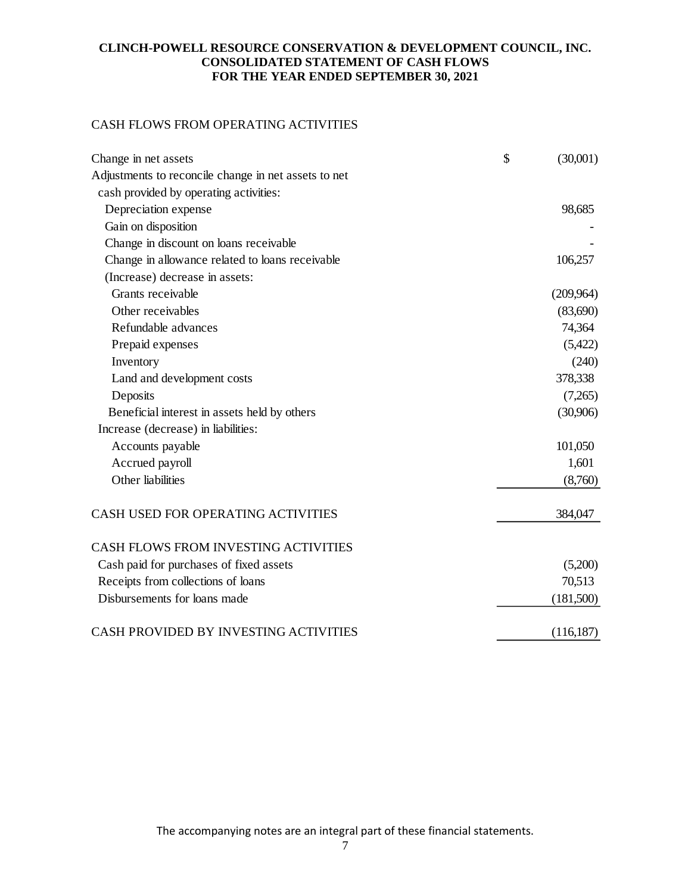## **CLINCH-POWELL RESOURCE CONSERVATION & DEVELOPMENT COUNCIL, INC. CONSOLIDATED STATEMENT OF CASH FLOWS FOR THE YEAR ENDED SEPTEMBER 30, 2021**

## CASH FLOWS FROM OPERATING ACTIVITIES

| Change in net assets                                 | \$<br>(30,001) |
|------------------------------------------------------|----------------|
| Adjustments to reconcile change in net assets to net |                |
| cash provided by operating activities:               |                |
| Depreciation expense                                 | 98,685         |
| Gain on disposition                                  |                |
| Change in discount on loans receivable               |                |
| Change in allowance related to loans receivable      | 106,257        |
| (Increase) decrease in assets:                       |                |
| Grants receivable                                    | (209,964)      |
| Other receivables                                    | (83,690)       |
| Refundable advances                                  | 74,364         |
| Prepaid expenses                                     | (5,422)        |
| Inventory                                            | (240)          |
| Land and development costs                           | 378,338        |
| Deposits                                             | (7,265)        |
| Beneficial interest in assets held by others         | (30,906)       |
| Increase (decrease) in liabilities:                  |                |
| Accounts payable                                     | 101,050        |
| Accrued payroll                                      | 1,601          |
| Other liabilities                                    | (8,760)        |
| CASH USED FOR OPERATING ACTIVITIES                   | 384,047        |
| CASH FLOWS FROM INVESTING ACTIVITIES                 |                |
| Cash paid for purchases of fixed assets              | (5,200)        |
| Receipts from collections of loans                   | 70,513         |
| Disbursements for loans made                         | (181,500)      |
| CASH PROVIDED BY INVESTING ACTIVITIES                | (116, 187)     |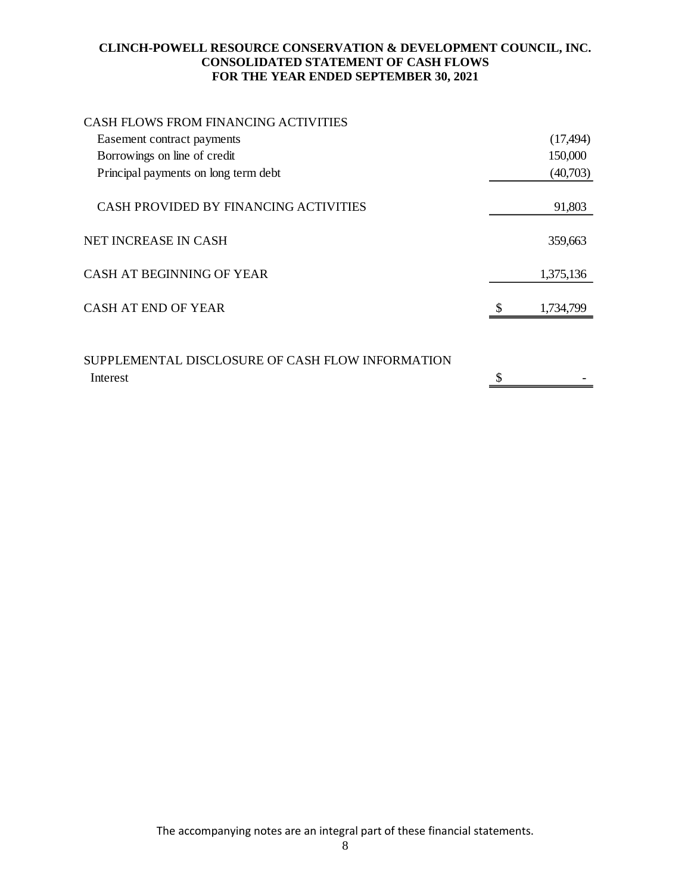## **CLINCH-POWELL RESOURCE CONSERVATION & DEVELOPMENT COUNCIL, INC. CONSOLIDATED STATEMENT OF CASH FLOWS FOR THE YEAR ENDED SEPTEMBER 30, 2021**

| CASH FLOWS FROM FINANCING ACTIVITIES                         |           |
|--------------------------------------------------------------|-----------|
| Easement contract payments                                   | (17, 494) |
| Borrowings on line of credit                                 | 150,000   |
| Principal payments on long term debt                         | (40,703)  |
| CASH PROVIDED BY FINANCING ACTIVITIES                        | 91,803    |
| NET INCREASE IN CASH                                         | 359,663   |
| CASH AT BEGINNING OF YEAR                                    | 1,375,136 |
| <b>CASH AT END OF YEAR</b>                                   | 1,734,799 |
| SUPPLEMENTAL DISCLOSURE OF CASH FLOW INFORMATION<br>Interest | \$        |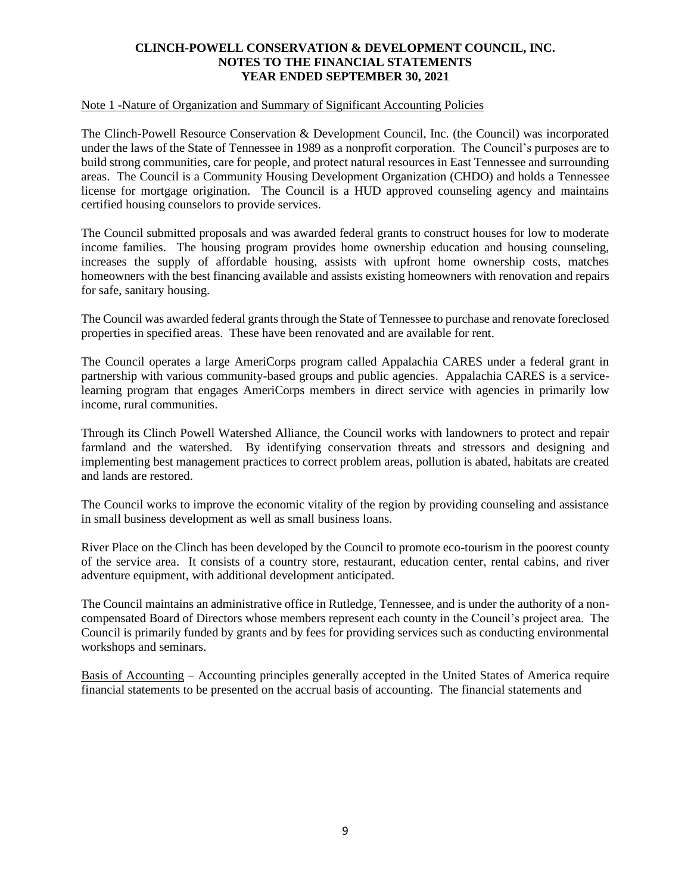### Note 1 -Nature of Organization and Summary of Significant Accounting Policies

The Clinch-Powell Resource Conservation & Development Council, Inc. (the Council) was incorporated under the laws of the State of Tennessee in 1989 as a nonprofit corporation. The Council's purposes are to build strong communities, care for people, and protect natural resources in East Tennessee and surrounding areas. The Council is a Community Housing Development Organization (CHDO) and holds a Tennessee license for mortgage origination. The Council is a HUD approved counseling agency and maintains certified housing counselors to provide services.

The Council submitted proposals and was awarded federal grants to construct houses for low to moderate income families. The housing program provides home ownership education and housing counseling, increases the supply of affordable housing, assists with upfront home ownership costs, matches homeowners with the best financing available and assists existing homeowners with renovation and repairs for safe, sanitary housing.

The Council was awarded federal grants through the State of Tennessee to purchase and renovate foreclosed properties in specified areas. These have been renovated and are available for rent.

The Council operates a large AmeriCorps program called Appalachia CARES under a federal grant in partnership with various community-based groups and public agencies. Appalachia CARES is a servicelearning program that engages AmeriCorps members in direct service with agencies in primarily low income, rural communities.

Through its Clinch Powell Watershed Alliance, the Council works with landowners to protect and repair farmland and the watershed. By identifying conservation threats and stressors and designing and implementing best management practices to correct problem areas, pollution is abated, habitats are created and lands are restored.

The Council works to improve the economic vitality of the region by providing counseling and assistance in small business development as well as small business loans.

River Place on the Clinch has been developed by the Council to promote eco-tourism in the poorest county of the service area. It consists of a country store, restaurant, education center, rental cabins, and river adventure equipment, with additional development anticipated.

The Council maintains an administrative office in Rutledge, Tennessee, and is under the authority of a noncompensated Board of Directors whose members represent each county in the Council's project area. The Council is primarily funded by grants and by fees for providing services such as conducting environmental workshops and seminars.

Basis of Accounting – Accounting principles generally accepted in the United States of America require financial statements to be presented on the accrual basis of accounting. The financial statements and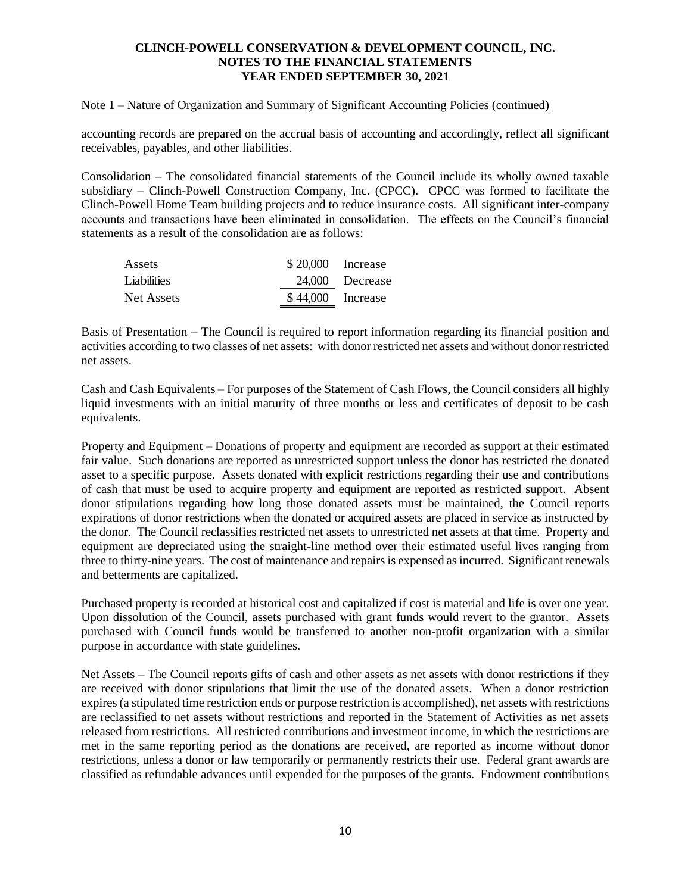### Note 1 – Nature of Organization and Summary of Significant Accounting Policies (continued)

accounting records are prepared on the accrual basis of accounting and accordingly, reflect all significant receivables, payables, and other liabilities.

Consolidation – The consolidated financial statements of the Council include its wholly owned taxable subsidiary – Clinch-Powell Construction Company, Inc. (CPCC). CPCC was formed to facilitate the Clinch-Powell Home Team building projects and to reduce insurance costs. All significant inter-company accounts and transactions have been eliminated in consolidation. The effects on the Council's financial statements as a result of the consolidation are as follows:

| Assets             | $$20,000$ Increase |                 |
|--------------------|--------------------|-----------------|
| <b>Liabilities</b> |                    | 24,000 Decrease |
| Net Assets         | $$44,000$ Increase |                 |

Basis of Presentation – The Council is required to report information regarding its financial position and activities according to two classes of net assets: with donor restricted net assets and without donor restricted net assets.

Cash and Cash Equivalents – For purposes of the Statement of Cash Flows, the Council considers all highly liquid investments with an initial maturity of three months or less and certificates of deposit to be cash equivalents.

Property and Equipment – Donations of property and equipment are recorded as support at their estimated fair value. Such donations are reported as unrestricted support unless the donor has restricted the donated asset to a specific purpose. Assets donated with explicit restrictions regarding their use and contributions of cash that must be used to acquire property and equipment are reported as restricted support. Absent donor stipulations regarding how long those donated assets must be maintained, the Council reports expirations of donor restrictions when the donated or acquired assets are placed in service as instructed by the donor. The Council reclassifies restricted net assets to unrestricted net assets at that time. Property and equipment are depreciated using the straight-line method over their estimated useful lives ranging from three to thirty-nine years. The cost of maintenance and repairs is expensed as incurred. Significant renewals and betterments are capitalized.

Purchased property is recorded at historical cost and capitalized if cost is material and life is over one year. Upon dissolution of the Council, assets purchased with grant funds would revert to the grantor. Assets purchased with Council funds would be transferred to another non-profit organization with a similar purpose in accordance with state guidelines.

Net Assets – The Council reports gifts of cash and other assets as net assets with donor restrictions if they are received with donor stipulations that limit the use of the donated assets. When a donor restriction expires (a stipulated time restriction ends or purpose restriction is accomplished), net assets with restrictions are reclassified to net assets without restrictions and reported in the Statement of Activities as net assets released from restrictions. All restricted contributions and investment income, in which the restrictions are met in the same reporting period as the donations are received, are reported as income without donor restrictions, unless a donor or law temporarily or permanently restricts their use. Federal grant awards are classified as refundable advances until expended for the purposes of the grants. Endowment contributions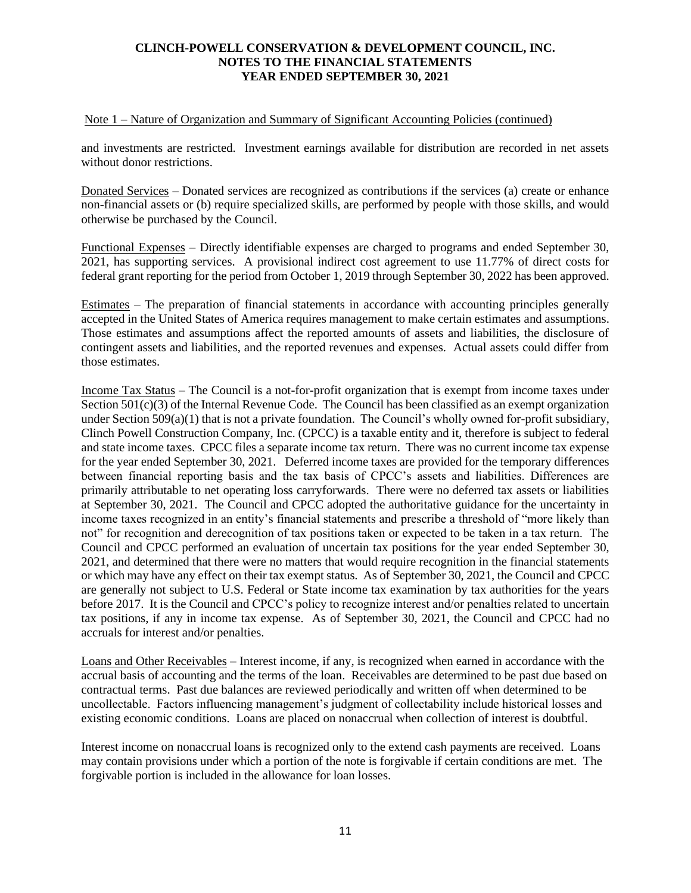#### Note 1 – Nature of Organization and Summary of Significant Accounting Policies (continued)

and investments are restricted. Investment earnings available for distribution are recorded in net assets without donor restrictions.

Donated Services – Donated services are recognized as contributions if the services (a) create or enhance non-financial assets or (b) require specialized skills, are performed by people with those skills, and would otherwise be purchased by the Council.

Functional Expenses – Directly identifiable expenses are charged to programs and ended September 30, 2021, has supporting services. A provisional indirect cost agreement to use 11.77% of direct costs for federal grant reporting for the period from October 1, 2019 through September 30, 2022 has been approved.

Estimates – The preparation of financial statements in accordance with accounting principles generally accepted in the United States of America requires management to make certain estimates and assumptions. Those estimates and assumptions affect the reported amounts of assets and liabilities, the disclosure of contingent assets and liabilities, and the reported revenues and expenses. Actual assets could differ from those estimates.

Income Tax Status – The Council is a not-for-profit organization that is exempt from income taxes under Section 501(c)(3) of the Internal Revenue Code. The Council has been classified as an exempt organization under Section 509(a)(1) that is not a private foundation. The Council's wholly owned for-profit subsidiary, Clinch Powell Construction Company, Inc. (CPCC) is a taxable entity and it, therefore is subject to federal and state income taxes. CPCC files a separate income tax return. There was no current income tax expense for the year ended September 30, 2021. Deferred income taxes are provided for the temporary differences between financial reporting basis and the tax basis of CPCC's assets and liabilities. Differences are primarily attributable to net operating loss carryforwards. There were no deferred tax assets or liabilities at September 30, 2021. The Council and CPCC adopted the authoritative guidance for the uncertainty in income taxes recognized in an entity's financial statements and prescribe a threshold of "more likely than not" for recognition and derecognition of tax positions taken or expected to be taken in a tax return. The Council and CPCC performed an evaluation of uncertain tax positions for the year ended September 30, 2021, and determined that there were no matters that would require recognition in the financial statements or which may have any effect on their tax exempt status. As of September 30, 2021, the Council and CPCC are generally not subject to U.S. Federal or State income tax examination by tax authorities for the years before 2017. It is the Council and CPCC's policy to recognize interest and/or penalties related to uncertain tax positions, if any in income tax expense. As of September 30, 2021, the Council and CPCC had no accruals for interest and/or penalties.

Loans and Other Receivables – Interest income, if any, is recognized when earned in accordance with the accrual basis of accounting and the terms of the loan. Receivables are determined to be past due based on contractual terms. Past due balances are reviewed periodically and written off when determined to be uncollectable. Factors influencing management's judgment of collectability include historical losses and existing economic conditions. Loans are placed on nonaccrual when collection of interest is doubtful.

Interest income on nonaccrual loans is recognized only to the extend cash payments are received. Loans may contain provisions under which a portion of the note is forgivable if certain conditions are met. The forgivable portion is included in the allowance for loan losses.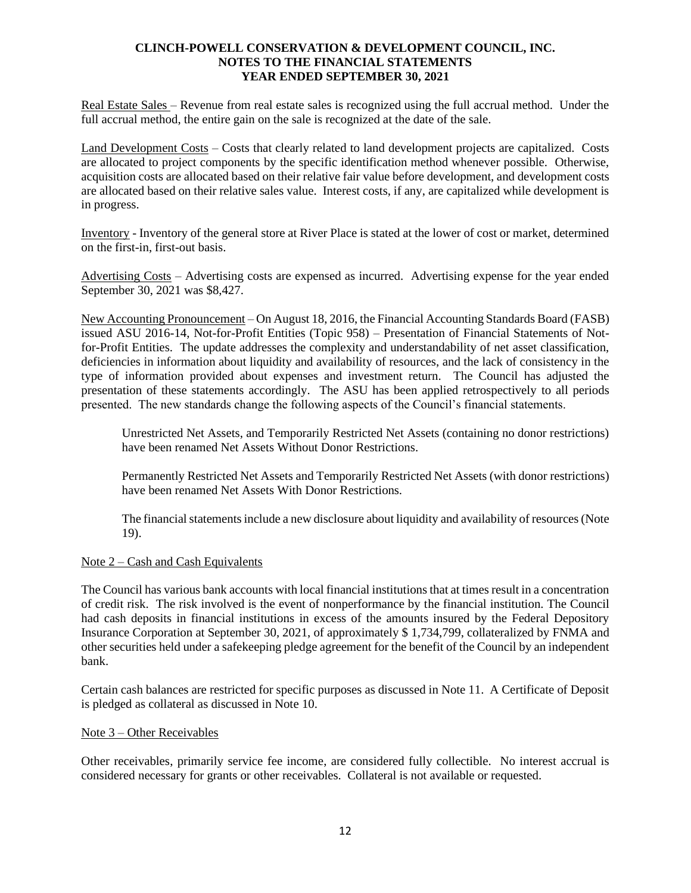Real Estate Sales – Revenue from real estate sales is recognized using the full accrual method. Under the full accrual method, the entire gain on the sale is recognized at the date of the sale.

Land Development Costs – Costs that clearly related to land development projects are capitalized. Costs are allocated to project components by the specific identification method whenever possible. Otherwise, acquisition costs are allocated based on their relative fair value before development, and development costs are allocated based on their relative sales value. Interest costs, if any, are capitalized while development is in progress.

Inventory - Inventory of the general store at River Place is stated at the lower of cost or market, determined on the first-in, first-out basis.

Advertising Costs – Advertising costs are expensed as incurred. Advertising expense for the year ended September 30, 2021 was \$8,427.

New Accounting Pronouncement – On August 18, 2016, the Financial Accounting Standards Board (FASB) issued ASU 2016-14, Not-for-Profit Entities (Topic 958) – Presentation of Financial Statements of Notfor-Profit Entities. The update addresses the complexity and understandability of net asset classification, deficiencies in information about liquidity and availability of resources, and the lack of consistency in the type of information provided about expenses and investment return. The Council has adjusted the presentation of these statements accordingly. The ASU has been applied retrospectively to all periods presented. The new standards change the following aspects of the Council's financial statements.

Unrestricted Net Assets, and Temporarily Restricted Net Assets (containing no donor restrictions) have been renamed Net Assets Without Donor Restrictions.

Permanently Restricted Net Assets and Temporarily Restricted Net Assets (with donor restrictions) have been renamed Net Assets With Donor Restrictions.

The financial statements include a new disclosure about liquidity and availability of resources (Note 19).

#### Note 2 – Cash and Cash Equivalents

The Council has various bank accounts with local financial institutions that at times result in a concentration of credit risk. The risk involved is the event of nonperformance by the financial institution. The Council had cash deposits in financial institutions in excess of the amounts insured by the Federal Depository Insurance Corporation at September 30, 2021, of approximately \$ 1,734,799, collateralized by FNMA and other securities held under a safekeeping pledge agreement for the benefit of the Council by an independent bank.

Certain cash balances are restricted for specific purposes as discussed in Note 11. A Certificate of Deposit is pledged as collateral as discussed in Note 10.

#### Note 3 – Other Receivables

Other receivables, primarily service fee income, are considered fully collectible. No interest accrual is considered necessary for grants or other receivables. Collateral is not available or requested.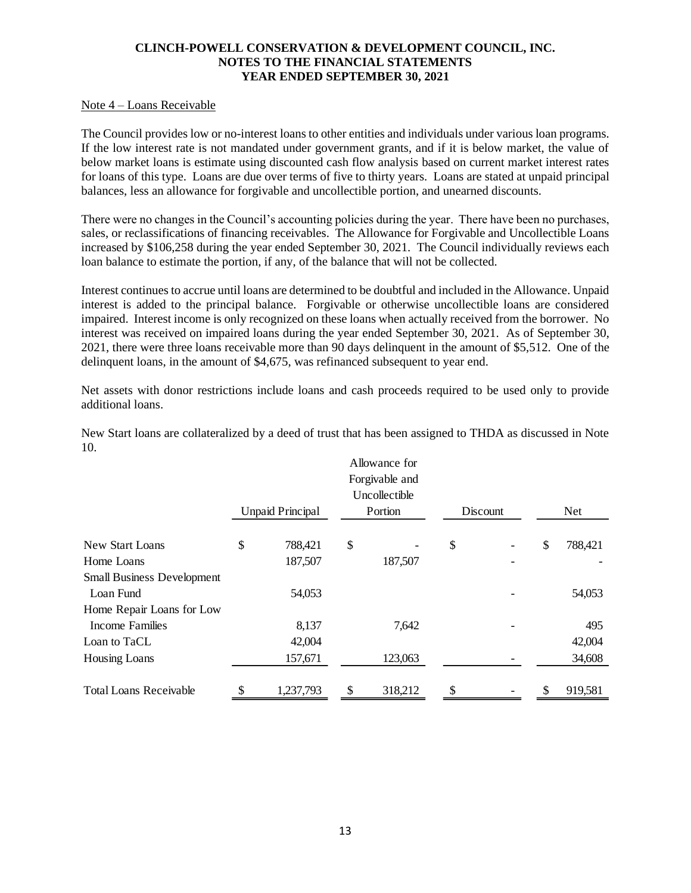#### Note 4 – Loans Receivable

The Council provides low or no-interest loans to other entities and individuals under various loan programs. If the low interest rate is not mandated under government grants, and if it is below market, the value of below market loans is estimate using discounted cash flow analysis based on current market interest rates for loans of this type. Loans are due over terms of five to thirty years. Loans are stated at unpaid principal balances, less an allowance for forgivable and uncollectible portion, and unearned discounts.

There were no changes in the Council's accounting policies during the year. There have been no purchases, sales, or reclassifications of financing receivables. The Allowance for Forgivable and Uncollectible Loans increased by \$106,258 during the year ended September 30, 2021. The Council individually reviews each loan balance to estimate the portion, if any, of the balance that will not be collected.

Interest continues to accrue until loans are determined to be doubtful and included in the Allowance. Unpaid interest is added to the principal balance. Forgivable or otherwise uncollectible loans are considered impaired. Interest income is only recognized on these loans when actually received from the borrower. No interest was received on impaired loans during the year ended September 30, 2021. As of September 30, 2021, there were three loans receivable more than 90 days delinquent in the amount of \$5,512. One of the delinquent loans, in the amount of \$4,675, was refinanced subsequent to year end.

Net assets with donor restrictions include loans and cash proceeds required to be used only to provide additional loans.

|                                   |                         | Allowance for<br>Forgivable and |          |    |         |
|-----------------------------------|-------------------------|---------------------------------|----------|----|---------|
|                                   |                         | Uncollectible                   |          |    |         |
|                                   | <b>Unpaid Principal</b> | Portion                         | Discount |    | Net     |
| <b>New Start Loans</b>            | \$<br>788,421           | \$                              | \$       | \$ | 788,421 |
| Home Loans                        | 187,507                 | 187,507                         |          |    |         |
| <b>Small Business Development</b> |                         |                                 |          |    |         |
| Loan Fund                         | 54,053                  |                                 |          |    | 54,053  |
| Home Repair Loans for Low         |                         |                                 |          |    |         |
| Income Families                   | 8,137                   | 7,642                           |          |    | 495     |
| Loan to TaCL                      | 42,004                  |                                 |          |    | 42,004  |
| Housing Loans                     | 157,671                 | 123,063                         |          |    | 34,608  |
| <b>Total Loans Receivable</b>     | \$<br>1,237,793         | \$<br>318,212                   | \$       | S  | 919,581 |

New Start loans are collateralized by a deed of trust that has been assigned to THDA as discussed in Note 10.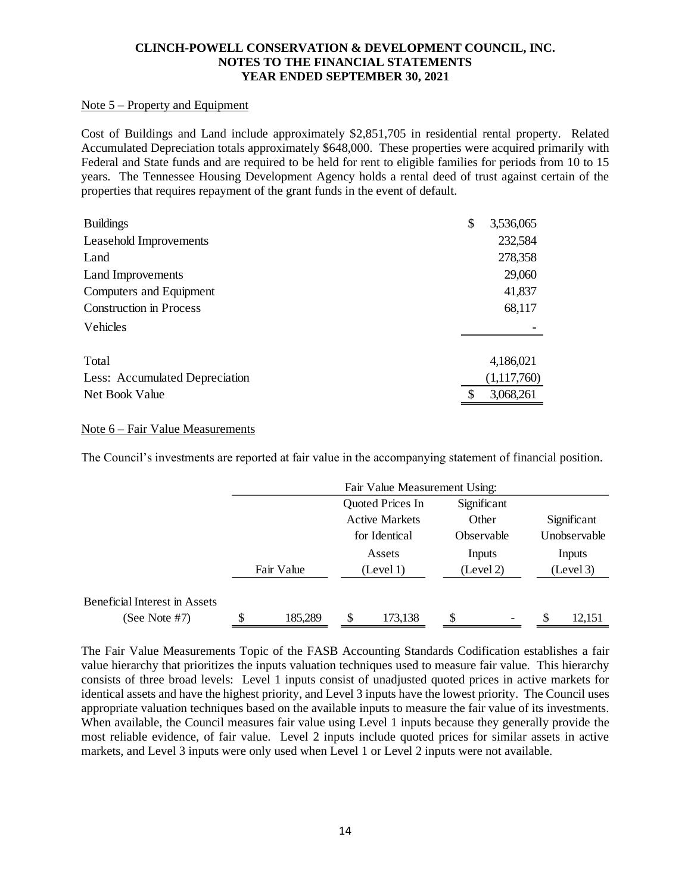### Note 5 – Property and Equipment

Cost of Buildings and Land include approximately \$2,851,705 in residential rental property. Related Accumulated Depreciation totals approximately \$648,000. These properties were acquired primarily with Federal and State funds and are required to be held for rent to eligible families for periods from 10 to 15 years. The Tennessee Housing Development Agency holds a rental deed of trust against certain of the properties that requires repayment of the grant funds in the event of default.

| <b>Buildings</b>               | \$<br>3,536,065 |
|--------------------------------|-----------------|
| Leasehold Improvements         | 232,584         |
| Land                           | 278,358         |
| Land Improvements              | 29,060          |
| Computers and Equipment        | 41,837          |
| <b>Construction in Process</b> | 68,117          |
| Vehicles                       |                 |
|                                |                 |
| Total                          | 4,186,021       |
| Less: Accumulated Depreciation | (1,117,760)     |
| Net Book Value                 | \$<br>3,068,261 |

#### Note 6 – Fair Value Measurements

The Council's investments are reported at fair value in the accompanying statement of financial position.

|                                      | Fair Value Measurement Using: |               |                       |                   |   |   |              |
|--------------------------------------|-------------------------------|---------------|-----------------------|-------------------|---|---|--------------|
|                                      |                               |               | Quoted Prices In      | Significant       |   |   |              |
|                                      |                               |               | <b>Active Markets</b> | Other             |   |   | Significant  |
|                                      |                               | for Identical |                       | <b>Observable</b> |   |   | Unobservable |
|                                      |                               |               | Assets                | Inputs            |   |   | Inputs       |
|                                      | Fair Value                    |               | (Level 1)             | (Level 2)         |   |   | (Level 3)    |
| <b>Beneficial Interest in Assets</b> |                               |               |                       |                   |   |   |              |
| (See Note #7)                        | \$<br>185,289                 | \$.           | 173,138               | S                 | - | S | 12,151       |

The Fair Value Measurements Topic of the FASB Accounting Standards Codification establishes a fair value hierarchy that prioritizes the inputs valuation techniques used to measure fair value. This hierarchy consists of three broad levels: Level 1 inputs consist of unadjusted quoted prices in active markets for identical assets and have the highest priority, and Level 3 inputs have the lowest priority. The Council uses appropriate valuation techniques based on the available inputs to measure the fair value of its investments. When available, the Council measures fair value using Level 1 inputs because they generally provide the most reliable evidence, of fair value. Level 2 inputs include quoted prices for similar assets in active markets, and Level 3 inputs were only used when Level 1 or Level 2 inputs were not available.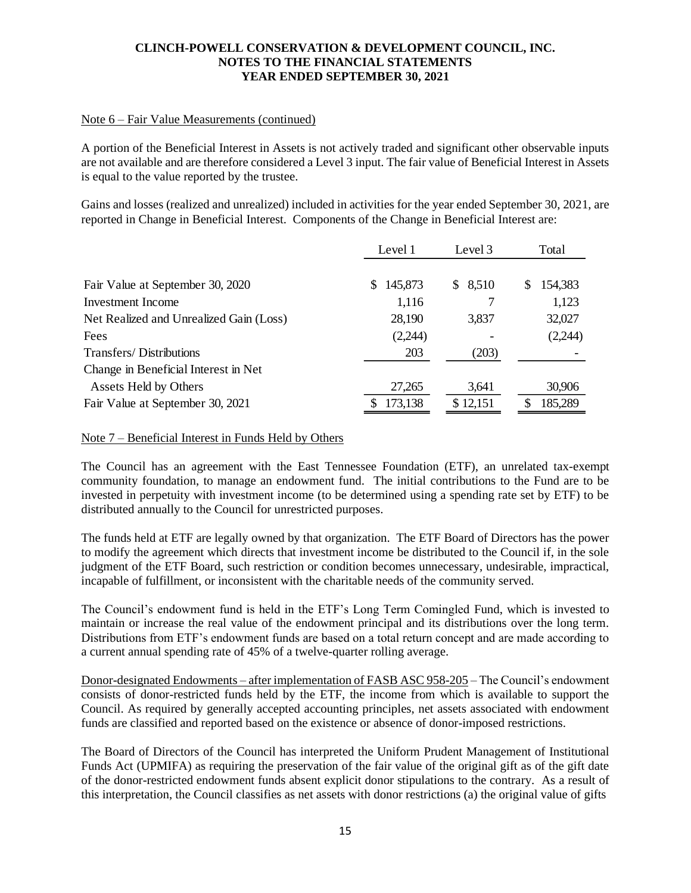### Note 6 – Fair Value Measurements (continued)

A portion of the Beneficial Interest in Assets is not actively traded and significant other observable inputs are not available and are therefore considered a Level 3 input. The fair value of Beneficial Interest in Assets is equal to the value reported by the trustee.

Gains and losses (realized and unrealized) included in activities for the year ended September 30, 2021, are reported in Change in Beneficial Interest. Components of the Change in Beneficial Interest are:

|                                         | Level 1       | Level 3  | Total        |
|-----------------------------------------|---------------|----------|--------------|
|                                         |               |          |              |
| Fair Value at September 30, 2020        | 145,873<br>S. | \$8,510  | 154,383<br>S |
| <b>Investment Income</b>                | 1,116         |          | 1,123        |
| Net Realized and Unrealized Gain (Loss) | 28,190        | 3,837    | 32,027       |
| Fees                                    | (2,244)       |          | (2,244)      |
| Transfers/Distributions                 | 203           | (203)    |              |
| Change in Beneficial Interest in Net    |               |          |              |
| Assets Held by Others                   | 27,265        | 3,641    | 30,906       |
| Fair Value at September 30, 2021        | 173,138       | \$12,151 | 185,289      |

#### Note 7 – Beneficial Interest in Funds Held by Others

The Council has an agreement with the East Tennessee Foundation (ETF), an unrelated tax-exempt community foundation, to manage an endowment fund. The initial contributions to the Fund are to be invested in perpetuity with investment income (to be determined using a spending rate set by ETF) to be distributed annually to the Council for unrestricted purposes.

The funds held at ETF are legally owned by that organization. The ETF Board of Directors has the power to modify the agreement which directs that investment income be distributed to the Council if, in the sole judgment of the ETF Board, such restriction or condition becomes unnecessary, undesirable, impractical, incapable of fulfillment, or inconsistent with the charitable needs of the community served.

The Council's endowment fund is held in the ETF's Long Term Comingled Fund, which is invested to maintain or increase the real value of the endowment principal and its distributions over the long term. Distributions from ETF's endowment funds are based on a total return concept and are made according to a current annual spending rate of 45% of a twelve-quarter rolling average.

Donor-designated Endowments – after implementation of FASB ASC 958-205 – The Council's endowment consists of donor-restricted funds held by the ETF, the income from which is available to support the Council. As required by generally accepted accounting principles, net assets associated with endowment funds are classified and reported based on the existence or absence of donor-imposed restrictions.

The Board of Directors of the Council has interpreted the Uniform Prudent Management of Institutional Funds Act (UPMIFA) as requiring the preservation of the fair value of the original gift as of the gift date of the donor-restricted endowment funds absent explicit donor stipulations to the contrary. As a result of this interpretation, the Council classifies as net assets with donor restrictions (a) the original value of gifts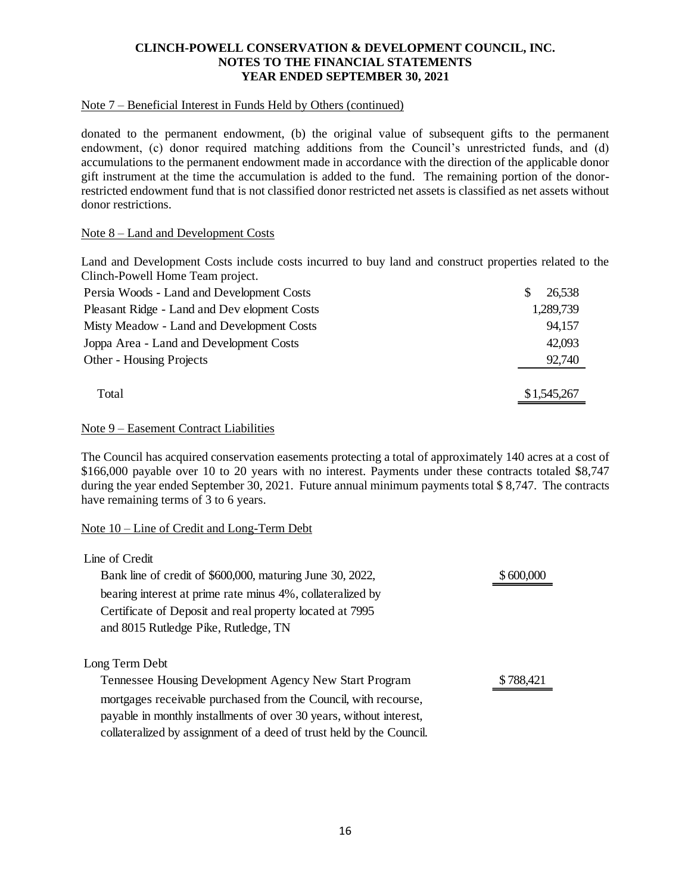## Note 7 – Beneficial Interest in Funds Held by Others (continued)

donated to the permanent endowment, (b) the original value of subsequent gifts to the permanent endowment, (c) donor required matching additions from the Council's unrestricted funds, and (d) accumulations to the permanent endowment made in accordance with the direction of the applicable donor gift instrument at the time the accumulation is added to the fund. The remaining portion of the donorrestricted endowment fund that is not classified donor restricted net assets is classified as net assets without donor restrictions.

#### Note 8 – Land and Development Costs

Land and Development Costs include costs incurred to buy land and construct properties related to the Clinch-Powell Home Team project.

| Persia Woods - Land and Development Costs    | 26,538      |
|----------------------------------------------|-------------|
| Pleasant Ridge - Land and Dev elopment Costs | 1,289,739   |
| Misty Meadow - Land and Development Costs    | 94,157      |
| Joppa Area - Land and Development Costs      | 42,093      |
| <b>Other - Housing Projects</b>              | 92,740      |
| Total                                        | \$1,545,267 |

#### Note 9 – Easement Contract Liabilities

The Council has acquired conservation easements protecting a total of approximately 140 acres at a cost of \$166,000 payable over 10 to 20 years with no interest. Payments under these contracts totaled \$8,747 during the year ended September 30, 2021. Future annual minimum payments total \$ 8,747. The contracts have remaining terms of 3 to 6 years.

#### Note 10 – Line of Credit and Long-Term Debt

| Line of Credit                                                       |           |
|----------------------------------------------------------------------|-----------|
| Bank line of credit of \$600,000, maturing June 30, 2022,            | \$600,000 |
| bearing interest at prime rate minus 4%, collateralized by           |           |
| Certificate of Deposit and real property located at 7995             |           |
| and 8015 Rutledge Pike, Rutledge, TN                                 |           |
|                                                                      |           |
| Long Term Debt                                                       |           |
| Tennessee Housing Development Agency New Start Program               | \$788,421 |
| mortgages receivable purchased from the Council, with recourse,      |           |
| payable in monthly installments of over 30 years, without interest,  |           |
| collateralized by assignment of a deed of trust held by the Council. |           |
|                                                                      |           |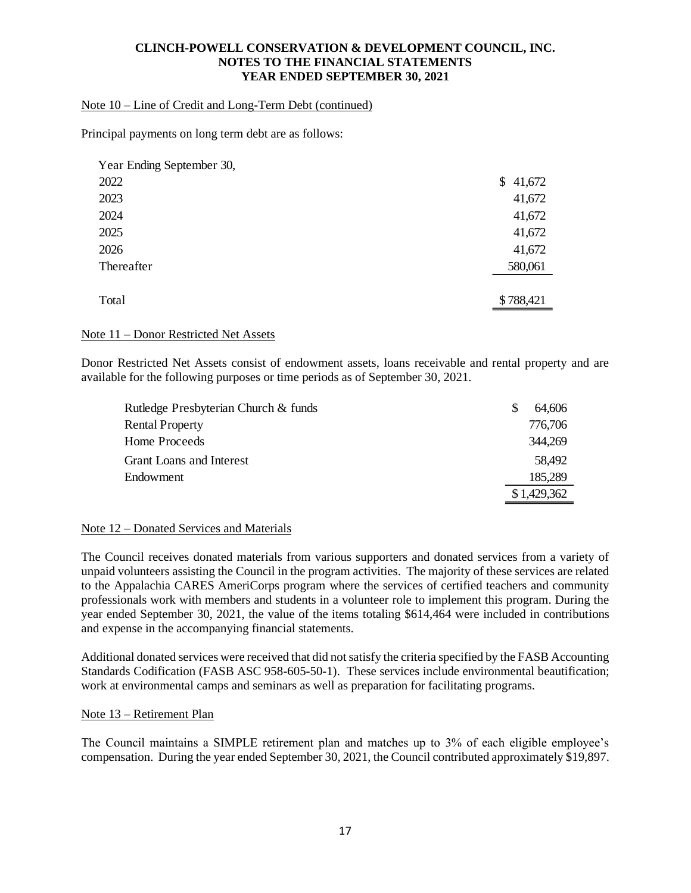## Note 10 – Line of Credit and Long-Term Debt (continued)

Principal payments on long term debt are as follows:

| Year Ending September 30, |              |
|---------------------------|--------------|
| 2022                      | 41,672<br>\$ |
| 2023                      | 41,672       |
| 2024                      | 41,672       |
| 2025                      | 41,672       |
| 2026                      | 41,672       |
| Thereafter                | 580,061      |
|                           |              |
| Total                     | \$788,421    |

## Note 11 – Donor Restricted Net Assets

Donor Restricted Net Assets consist of endowment assets, loans receivable and rental property and are available for the following purposes or time periods as of September 30, 2021.

| Rutledge Presbyterian Church & funds | S | 64,606      |
|--------------------------------------|---|-------------|
| <b>Rental Property</b>               |   | 776,706     |
| Home Proceeds                        |   | 344,269     |
| Grant Loans and Interest             |   | 58,492      |
| Endowment                            |   | 185,289     |
|                                      |   | \$1,429,362 |

## Note 12 – Donated Services and Materials

The Council receives donated materials from various supporters and donated services from a variety of unpaid volunteers assisting the Council in the program activities. The majority of these services are related to the Appalachia CARES AmeriCorps program where the services of certified teachers and community professionals work with members and students in a volunteer role to implement this program. During the year ended September 30, 2021, the value of the items totaling \$614,464 were included in contributions and expense in the accompanying financial statements.

Additional donated services were received that did not satisfy the criteria specified by the FASB Accounting Standards Codification (FASB ASC 958-605-50-1). These services include environmental beautification; work at environmental camps and seminars as well as preparation for facilitating programs.

## Note 13 – Retirement Plan

The Council maintains a SIMPLE retirement plan and matches up to 3% of each eligible employee's compensation. During the year ended September 30, 2021, the Council contributed approximately \$19,897.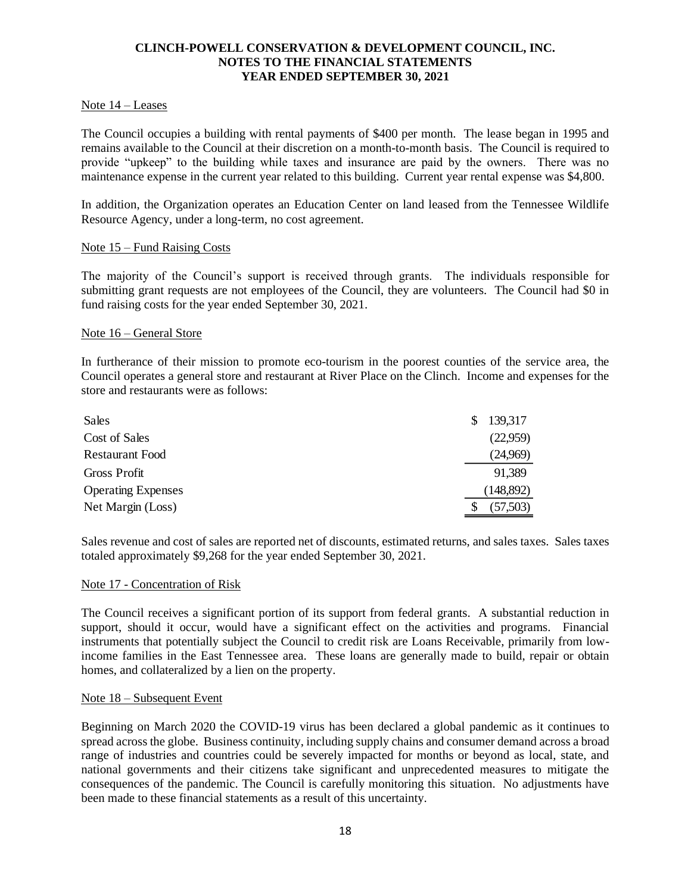### Note 14 – Leases

The Council occupies a building with rental payments of \$400 per month. The lease began in 1995 and remains available to the Council at their discretion on a month-to-month basis. The Council is required to provide "upkeep" to the building while taxes and insurance are paid by the owners. There was no maintenance expense in the current year related to this building. Current year rental expense was \$4,800.

In addition, the Organization operates an Education Center on land leased from the Tennessee Wildlife Resource Agency, under a long-term, no cost agreement.

#### Note 15 – Fund Raising Costs

The majority of the Council's support is received through grants. The individuals responsible for submitting grant requests are not employees of the Council, they are volunteers. The Council had \$0 in fund raising costs for the year ended September 30, 2021.

#### Note 16 – General Store

In furtherance of their mission to promote eco-tourism in the poorest counties of the service area, the Council operates a general store and restaurant at River Place on the Clinch. Income and expenses for the store and restaurants were as follows:

| Sales                     | \$. | 139,317    |
|---------------------------|-----|------------|
| Cost of Sales             |     | (22,959)   |
| Restaurant Food           |     | (24,969)   |
| Gross Profit              |     | 91,389     |
| <b>Operating Expenses</b> |     | (148, 892) |
| Net Margin (Loss)         |     | (57,503)   |

Sales revenue and cost of sales are reported net of discounts, estimated returns, and sales taxes. Sales taxes totaled approximately \$9,268 for the year ended September 30, 2021.

#### Note 17 - Concentration of Risk

The Council receives a significant portion of its support from federal grants. A substantial reduction in support, should it occur, would have a significant effect on the activities and programs. Financial instruments that potentially subject the Council to credit risk are Loans Receivable, primarily from lowincome families in the East Tennessee area. These loans are generally made to build, repair or obtain homes, and collateralized by a lien on the property.

#### Note 18 – Subsequent Event

Beginning on March 2020 the COVID-19 virus has been declared a global pandemic as it continues to spread across the globe. Business continuity, including supply chains and consumer demand across a broad range of industries and countries could be severely impacted for months or beyond as local, state, and national governments and their citizens take significant and unprecedented measures to mitigate the consequences of the pandemic. The Council is carefully monitoring this situation. No adjustments have been made to these financial statements as a result of this uncertainty.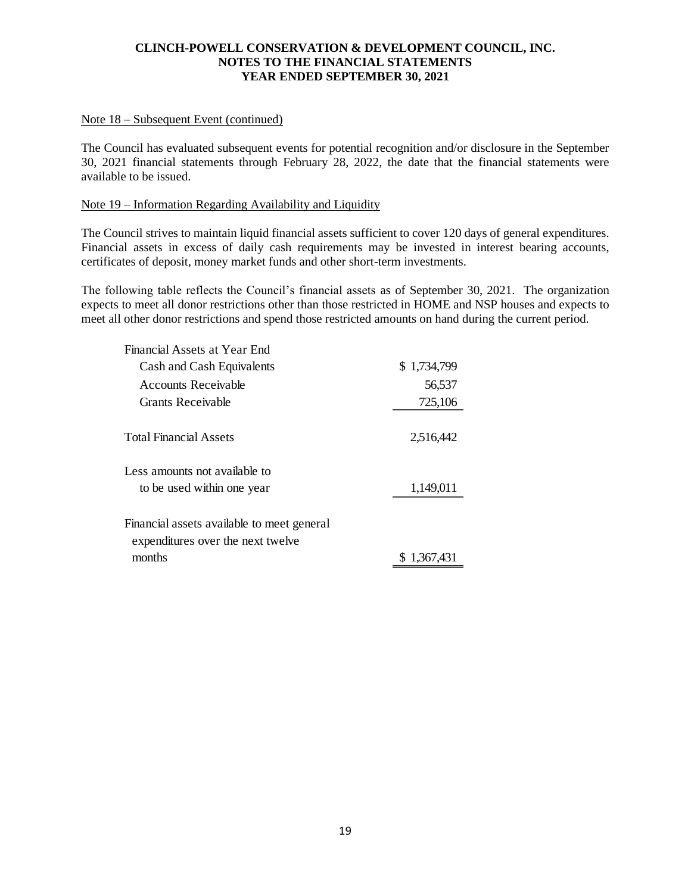### Note 18 – Subsequent Event (continued)

The Council has evaluated subsequent events for potential recognition and/or disclosure in the September 30, 2021 financial statements through February 28, 2022, the date that the financial statements were available to be issued.

## Note 19 – Information Regarding Availability and Liquidity

The Council strives to maintain liquid financial assets sufficient to cover 120 days of general expenditures. Financial assets in excess of daily cash requirements may be invested in interest bearing accounts, certificates of deposit, money market funds and other short-term investments.

The following table reflects the Council's financial assets as of September 30, 2021. The organization expects to meet all donor restrictions other than those restricted in HOME and NSP houses and expects to meet all other donor restrictions and spend those restricted amounts on hand during the current period.

| Financial Assets at Year End                                                    |             |
|---------------------------------------------------------------------------------|-------------|
| Cash and Cash Equivalents                                                       | \$1,734,799 |
| <b>Accounts Receivable</b>                                                      | 56,537      |
| <b>Grants Receivable</b>                                                        | 725,106     |
| <b>Total Financial Assets</b>                                                   | 2,516,442   |
| Less amounts not available to                                                   |             |
| to be used within one year                                                      | 1,149,011   |
| Financial assets available to meet general<br>expenditures over the next twelve |             |
| months                                                                          | \$1,367,431 |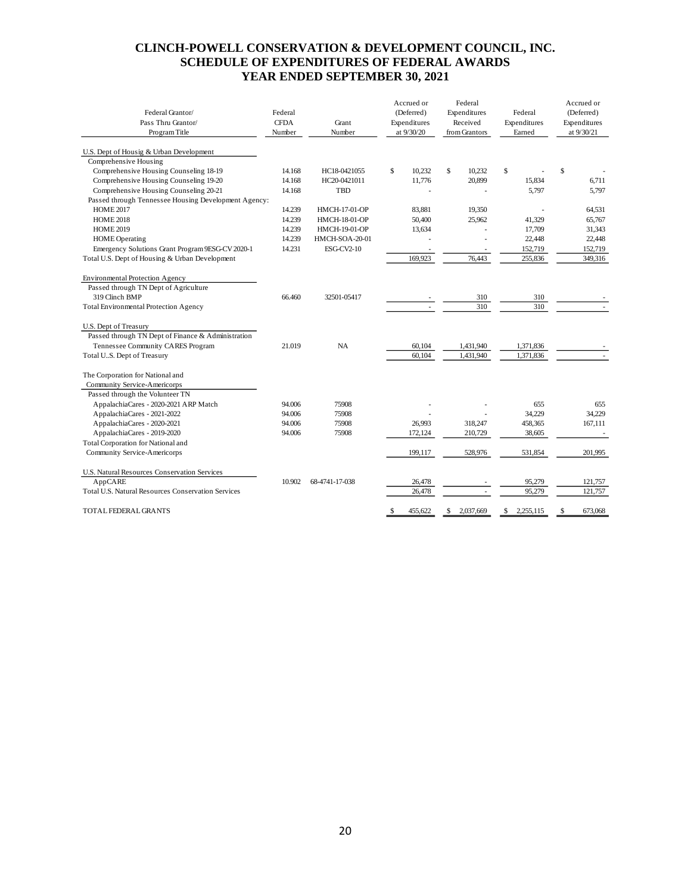## **CLINCH-POWELL CONSERVATION & DEVELOPMENT COUNCIL, INC. SCHEDULE OF EXPENDITURES OF FEDERAL AWARDS YEAR ENDED SEPTEMBER 30, 2021**

| Federal Grantor/<br>Pass Thru Grantor/<br>Program Title | Federal<br><b>CFDA</b><br>Number | Grant<br>Number       | Accrued or<br>(Deferred)<br>Expenditures<br>at 9/30/20 | Federal<br>Expenditures<br>Received<br>from Grantors | Federal<br>Expenditures<br>Earned |    | Accrued or<br>(Deferred)<br>Expenditures<br>at 9/30/21 |
|---------------------------------------------------------|----------------------------------|-----------------------|--------------------------------------------------------|------------------------------------------------------|-----------------------------------|----|--------------------------------------------------------|
| U.S. Dept of Housig & Urban Development                 |                                  |                       |                                                        |                                                      |                                   |    |                                                        |
| Comprehensive Housing                                   |                                  |                       |                                                        |                                                      |                                   |    |                                                        |
| Comprehensive Housing Counseling 18-19                  | 14.168                           | HC18-0421055          | \$<br>10,232                                           | \$<br>10,232                                         | \$                                | \$ |                                                        |
| Comprehensive Housing Counseling 19-20                  | 14.168                           | HC20-0421011          | 11,776                                                 | 20,899                                               | 15,834                            |    | 6,711                                                  |
| Comprehensive Housing Counseling 20-21                  | 14.168                           | <b>TBD</b>            |                                                        |                                                      | 5,797                             |    | 5,797                                                  |
| Passed through Tennessee Housing Development Agency:    |                                  |                       |                                                        |                                                      |                                   |    |                                                        |
| <b>HOME 2017</b>                                        | 14.239                           | <b>HMCH-17-01-OP</b>  | 83,881                                                 | 19,350                                               |                                   |    | 64,531                                                 |
| <b>HOME 2018</b>                                        | 14.239                           | <b>HMCH-18-01-OP</b>  | 50,400                                                 | 25,962                                               | 41,329                            |    | 65,767                                                 |
| <b>HOME 2019</b>                                        | 14.239                           | <b>HMCH-19-01-OP</b>  | 13,634                                                 |                                                      | 17,709                            |    | 31,343                                                 |
| <b>HOME</b> Operating                                   | 14.239                           | <b>HMCH-SOA-20-01</b> |                                                        |                                                      | 22,448                            |    | 22,448                                                 |
| Emergency Solutions Grant Program 9ESG-CV 2020-1        | 14.231                           | <b>ESG-CV2-10</b>     |                                                        |                                                      | 152,719                           |    | 152,719                                                |
| Total U.S. Dept of Housing & Urban Development          |                                  |                       | 169,923                                                | 76,443                                               | 255,836                           |    | 349,316                                                |
|                                                         |                                  |                       |                                                        |                                                      |                                   |    |                                                        |
| <b>Environmental Protection Agency</b>                  |                                  |                       |                                                        |                                                      |                                   |    |                                                        |
| Passed through TN Dept of Agriculture                   |                                  |                       |                                                        |                                                      |                                   |    |                                                        |
| 319 Clinch BMP                                          | 66.460                           | 32501-05417           |                                                        | 310                                                  | 310                               |    |                                                        |
| <b>Total Environmental Protection Agency</b>            |                                  |                       |                                                        | 310                                                  | 310                               |    |                                                        |
|                                                         |                                  |                       |                                                        |                                                      |                                   |    |                                                        |
| U.S. Dept of Treasury                                   |                                  |                       |                                                        |                                                      |                                   |    |                                                        |
| Passed through TN Dept of Finance & Administration      |                                  |                       |                                                        |                                                      |                                   |    |                                                        |
| Tennessee Community CARES Program                       | 21.019                           | NA                    | 60,104                                                 | 1,431,940                                            | 1,371,836                         |    |                                                        |
| Total U.S. Dept of Treasury                             |                                  |                       | 60.104                                                 | 1,431,940                                            | 1,371,836                         |    |                                                        |
|                                                         |                                  |                       |                                                        |                                                      |                                   |    |                                                        |
| The Corporation for National and                        |                                  |                       |                                                        |                                                      |                                   |    |                                                        |
| Community Service-Americorps                            |                                  |                       |                                                        |                                                      |                                   |    |                                                        |
| Passed through the Volunteer TN                         |                                  |                       |                                                        |                                                      |                                   |    |                                                        |
| AppalachiaCares - 2020-2021 ARP Match                   | 94.006                           | 75908                 |                                                        |                                                      | 655                               |    | 655                                                    |
| AppalachiaCares - 2021-2022                             | 94.006                           | 75908                 |                                                        |                                                      | 34,229                            |    | 34,229                                                 |
| AppalachiaCares - 2020-2021                             | 94.006                           | 75908                 | 26,993                                                 | 318,247                                              | 458,365                           |    | 167,111                                                |
| AppalachiaCares - 2019-2020                             | 94.006                           | 75908                 | 172,124                                                | 210,729                                              | 38,605                            |    |                                                        |
| Total Corporation for National and                      |                                  |                       |                                                        |                                                      |                                   |    |                                                        |
| Community Service-Americorps                            |                                  |                       | 199,117                                                | 528,976                                              | 531,854                           |    | 201,995                                                |
|                                                         |                                  |                       |                                                        |                                                      |                                   |    |                                                        |
| U.S. Natural Resources Conservation Services            |                                  |                       |                                                        |                                                      |                                   |    |                                                        |
| AppCARE                                                 | 10.902                           | 68-4741-17-038        | 26,478                                                 |                                                      | 95,279                            |    | 121,757                                                |
| Total U.S. Natural Resources Conservation Services      |                                  |                       | 26,478                                                 |                                                      | 95,279                            |    | 121,757                                                |
|                                                         |                                  |                       |                                                        |                                                      |                                   |    |                                                        |
| <b>TOTAL FEDERAL GRANTS</b>                             |                                  |                       | \$<br>455,622                                          | \$<br>2,037,669                                      | \$<br>2,255,115                   | S  | 673,068                                                |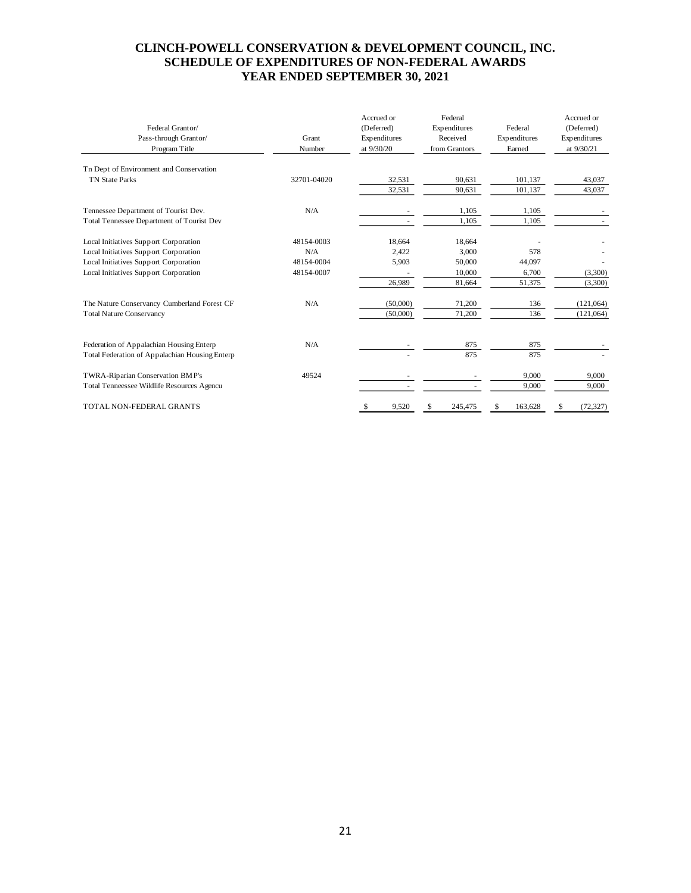## **CLINCH-POWELL CONSERVATION & DEVELOPMENT COUNCIL, INC. SCHEDULE OF EXPENDITURES OF NON-FEDERAL AWARDS YEAR ENDED SEPTEMBER 30, 2021**

| Federal Grantor/<br>Pass-through Grantor/<br>Program Title                                 | Grant<br>Number | Accrued or<br>(Deferred)<br>Expenditures<br>at 9/30/20 | Federal<br>Expenditures<br>Received<br>from Grantors | Federal<br>Expenditures<br>Earned | Accrued or<br>(Deferred)<br>Expenditures<br>at 9/30/21 |
|--------------------------------------------------------------------------------------------|-----------------|--------------------------------------------------------|------------------------------------------------------|-----------------------------------|--------------------------------------------------------|
| Tn Dept of Environment and Conservation                                                    |                 |                                                        |                                                      |                                   |                                                        |
| TN State Parks                                                                             | 32701-04020     | 32,531                                                 | 90,631                                               | 101,137                           | 43,037                                                 |
|                                                                                            |                 | 32,531                                                 | 90,631                                               | 101,137                           | 43,037                                                 |
| Tennessee Department of Tourist Dev.                                                       | N/A             |                                                        | 1,105                                                | 1,105                             |                                                        |
| Total Tennessee Department of Tourist Dev                                                  |                 |                                                        | 1,105                                                | 1,105                             |                                                        |
| Local Initiatives Support Corporation                                                      | 48154-0003      | 18,664                                                 | 18,664                                               |                                   |                                                        |
| Local Initiatives Support Corporation                                                      | N/A             | 2,422                                                  | 3,000                                                | 578                               |                                                        |
| Local Initiatives Support Corporation                                                      | 48154-0004      | 5,903                                                  | 50,000                                               | 44,097                            |                                                        |
| Local Initiatives Support Corporation                                                      | 48154-0007      |                                                        | 10,000                                               | 6,700                             | (3,300)                                                |
|                                                                                            |                 | 26,989                                                 | 81,664                                               | 51,375                            | (3,300)                                                |
| The Nature Conservancy Cumberland Forest CF                                                | N/A             | (50,000)                                               | 71,200                                               | 136                               | (121,064)                                              |
| <b>Total Nature Conservancy</b>                                                            |                 | (50,000)                                               | 71,200                                               | 136                               | (121,064)                                              |
|                                                                                            |                 |                                                        |                                                      |                                   |                                                        |
| Federation of Appalachian Housing Enterp<br>Total Federation of Appalachian Housing Enterp | N/A             |                                                        | 875<br>875                                           | 875<br>875                        |                                                        |
| TWRA-Riparian Conservation BMP's                                                           | 49524           |                                                        |                                                      | 9,000                             | 9,000                                                  |
| Total Tenneessee Wildlife Resources Agencu                                                 |                 |                                                        |                                                      | 9,000                             | 9,000                                                  |
| TOTAL NON-FEDERAL GRANTS                                                                   |                 | 9,520                                                  | 245,475                                              | 163,628<br>S                      | (72, 327)                                              |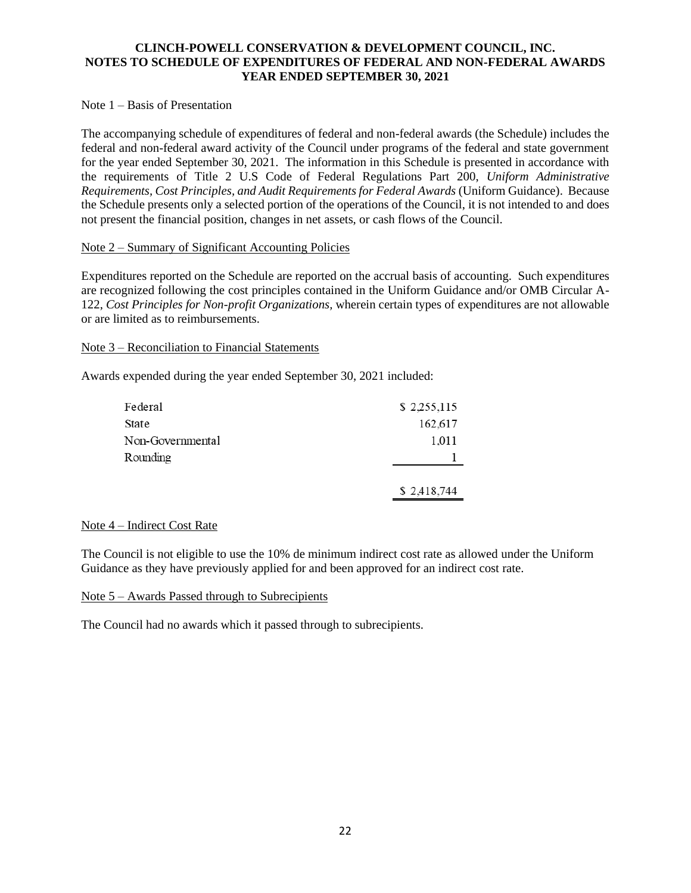## **CLINCH-POWELL CONSERVATION & DEVELOPMENT COUNCIL, INC. NOTES TO SCHEDULE OF EXPENDITURES OF FEDERAL AND NON-FEDERAL AWARDS YEAR ENDED SEPTEMBER 30, 2021**

## Note 1 – Basis of Presentation

The accompanying schedule of expenditures of federal and non-federal awards (the Schedule) includes the federal and non-federal award activity of the Council under programs of the federal and state government for the year ended September 30, 2021. The information in this Schedule is presented in accordance with the requirements of Title 2 U.S Code of Federal Regulations Part 200, *Uniform Administrative Requirements, Cost Principles, and Audit Requirements for Federal Awards* (Uniform Guidance). Because the Schedule presents only a selected portion of the operations of the Council, it is not intended to and does not present the financial position, changes in net assets, or cash flows of the Council.

## Note 2 – Summary of Significant Accounting Policies

Expenditures reported on the Schedule are reported on the accrual basis of accounting. Such expenditures are recognized following the cost principles contained in the Uniform Guidance and/or OMB Circular A-122, *Cost Principles for Non-profit Organizations,* wherein certain types of expenditures are not allowable or are limited as to reimbursements.

#### Note 3 – Reconciliation to Financial Statements

Awards expended during the year ended September 30, 2021 included:

| Federal          | \$2,255,115 |
|------------------|-------------|
| State            | 162,617     |
| Non-Governmental | 1.011       |
| Rounding         |             |
|                  |             |
|                  | \$2,418,744 |

## Note 4 – Indirect Cost Rate

The Council is not eligible to use the 10% de minimum indirect cost rate as allowed under the Uniform Guidance as they have previously applied for and been approved for an indirect cost rate.

#### Note 5 – Awards Passed through to Subrecipients

The Council had no awards which it passed through to subrecipients.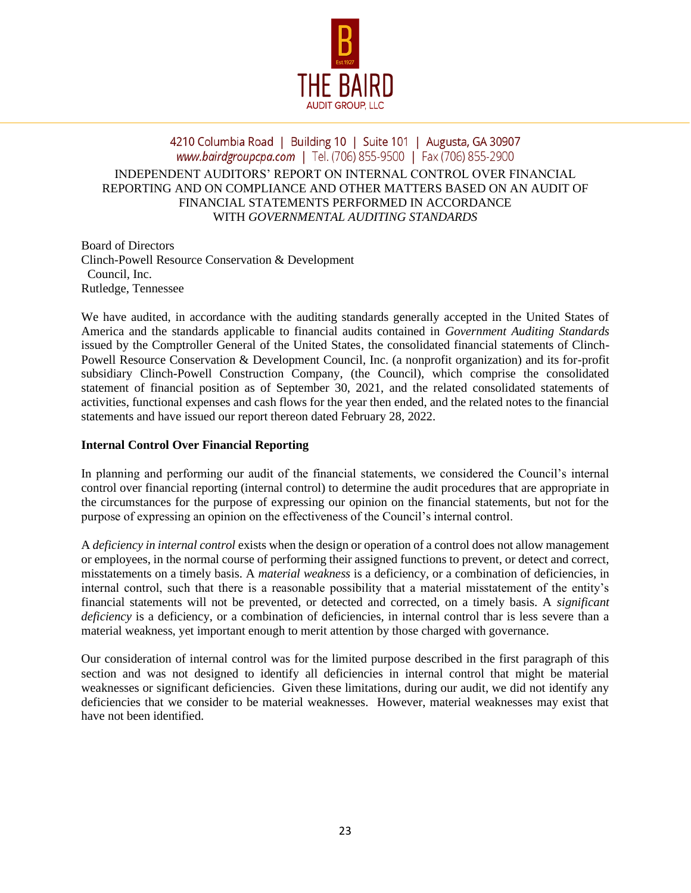

# 4210 Columbia Road | Building 10 | Suite 101 | Augusta, GA 30907 www.bairdgroupcpa.com | Tel. (706) 855-9500 | Fax (706) 855-2900

## INDEPENDENT AUDITORS' REPORT ON INTERNAL CONTROL OVER FINANCIAL REPORTING AND ON COMPLIANCE AND OTHER MATTERS BASED ON AN AUDIT OF FINANCIAL STATEMENTS PERFORMED IN ACCORDANCE WITH *GOVERNMENTAL AUDITING STANDARDS*

Board of Directors Clinch-Powell Resource Conservation & Development Council, Inc. Rutledge, Tennessee

We have audited, in accordance with the auditing standards generally accepted in the United States of America and the standards applicable to financial audits contained in *Government Auditing Standards*  issued by the Comptroller General of the United States, the consolidated financial statements of Clinch-Powell Resource Conservation & Development Council, Inc. (a nonprofit organization) and its for-profit subsidiary Clinch-Powell Construction Company, (the Council), which comprise the consolidated statement of financial position as of September 30, 2021, and the related consolidated statements of activities, functional expenses and cash flows for the year then ended, and the related notes to the financial statements and have issued our report thereon dated February 28, 2022.

## **Internal Control Over Financial Reporting**

In planning and performing our audit of the financial statements, we considered the Council's internal control over financial reporting (internal control) to determine the audit procedures that are appropriate in the circumstances for the purpose of expressing our opinion on the financial statements, but not for the purpose of expressing an opinion on the effectiveness of the Council's internal control.

A *deficiency in internal control* exists when the design or operation of a control does not allow management or employees, in the normal course of performing their assigned functions to prevent, or detect and correct, misstatements on a timely basis. A *material weakness* is a deficiency, or a combination of deficiencies, in internal control, such that there is a reasonable possibility that a material misstatement of the entity's financial statements will not be prevented, or detected and corrected, on a timely basis. A *significant deficiency* is a deficiency, or a combination of deficiencies, in internal control thar is less severe than a material weakness, yet important enough to merit attention by those charged with governance.

Our consideration of internal control was for the limited purpose described in the first paragraph of this section and was not designed to identify all deficiencies in internal control that might be material weaknesses or significant deficiencies. Given these limitations, during our audit, we did not identify any deficiencies that we consider to be material weaknesses. However, material weaknesses may exist that have not been identified.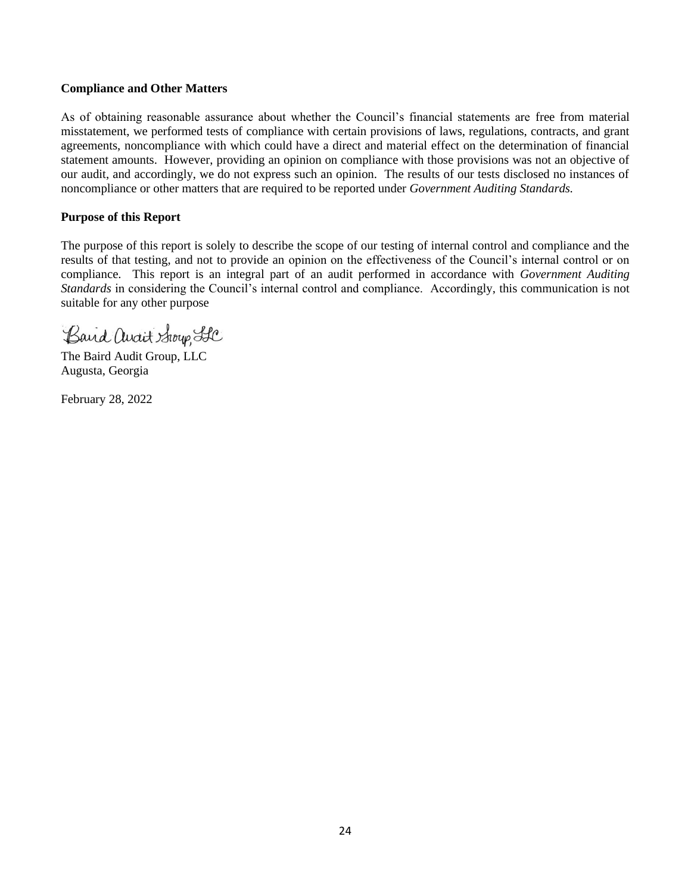### **Compliance and Other Matters**

As of obtaining reasonable assurance about whether the Council's financial statements are free from material misstatement, we performed tests of compliance with certain provisions of laws, regulations, contracts, and grant agreements, noncompliance with which could have a direct and material effect on the determination of financial statement amounts. However, providing an opinion on compliance with those provisions was not an objective of our audit, and accordingly, we do not express such an opinion. The results of our tests disclosed no instances of noncompliance or other matters that are required to be reported under *Government Auditing Standards.*

## **Purpose of this Report**

The purpose of this report is solely to describe the scope of our testing of internal control and compliance and the results of that testing, and not to provide an opinion on the effectiveness of the Council's internal control or on compliance. This report is an integral part of an audit performed in accordance with *Government Auditing Standards* in considering the Council's internal control and compliance. Accordingly, this communication is not suitable for any other purpose

Barrid audit Story SLC

The Baird Audit Group, LLC Augusta, Georgia

February 28, 2022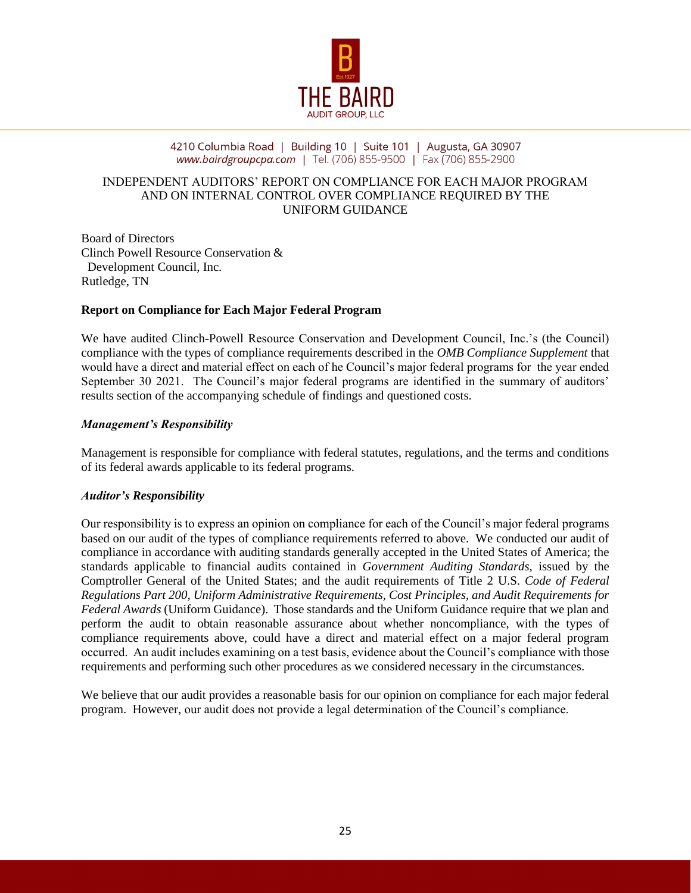

#### 4210 Columbia Road | Building 10 | Suite 101 | Augusta, GA 30907 www.bairdgroupcpa.com | Tel. (706) 855-9500 | Fax (706) 855-2900

## INDEPENDENT AUDITORS' REPORT ON COMPLIANCE FOR EACH MAJOR PROGRAM AND ON INTERNAL CONTROL OVER COMPLIANCE REQUIRED BY THE UNIFORM GUIDANCE

Board of Directors Clinch Powell Resource Conservation & Development Council, Inc. Rutledge, TN

## **Report on Compliance for Each Major Federal Program**

We have audited Clinch-Powell Resource Conservation and Development Council, Inc.'s (the Council) compliance with the types of compliance requirements described in the *OMB Compliance Supplement* that would have a direct and material effect on each of he Council's major federal programs for the year ended September 30 2021. The Council's major federal programs are identified in the summary of auditors' results section of the accompanying schedule of findings and questioned costs.

## *Management's Responsibility*

Management is responsible for compliance with federal statutes, regulations, and the terms and conditions of its federal awards applicable to its federal programs.

## *Auditor's Responsibility*

Our responsibility is to express an opinion on compliance for each of the Council's major federal programs based on our audit of the types of compliance requirements referred to above. We conducted our audit of compliance in accordance with auditing standards generally accepted in the United States of America; the standards applicable to financial audits contained in *Government Auditing Standards,* issued by the Comptroller General of the United States; and the audit requirements of Title 2 U.S. *Code of Federal Regulations Part 200, Uniform Administrative Requirements, Cost Principles, and Audit Requirements for Federal Awards* (Uniform Guidance). Those standards and the Uniform Guidance require that we plan and perform the audit to obtain reasonable assurance about whether noncompliance, with the types of compliance requirements above, could have a direct and material effect on a major federal program occurred. An audit includes examining on a test basis, evidence about the Council's compliance with those requirements and performing such other procedures as we considered necessary in the circumstances.

We believe that our audit provides a reasonable basis for our opinion on compliance for each major federal program. However, our audit does not provide a legal determination of the Council's compliance.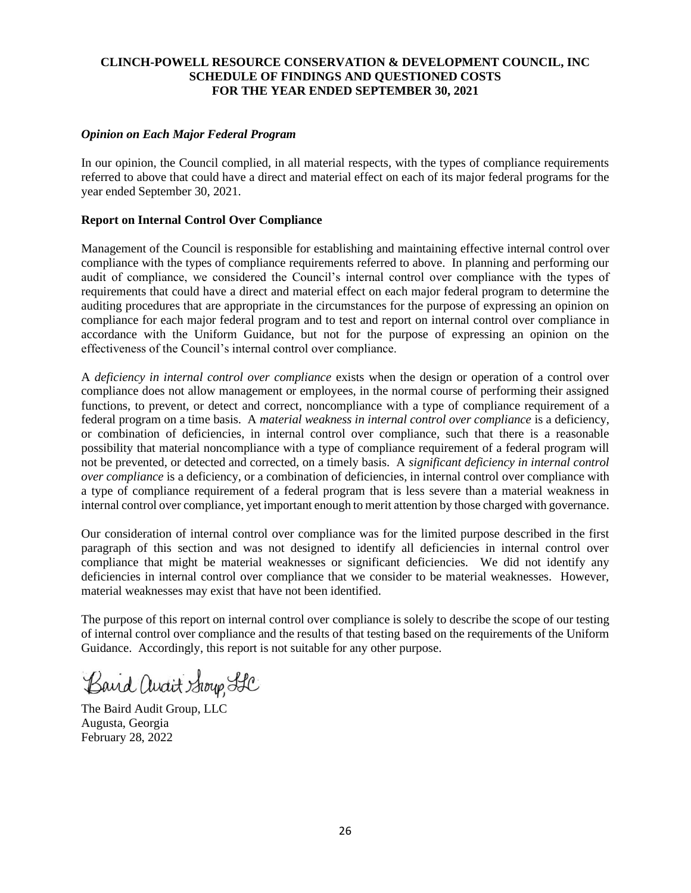## **CLINCH-POWELL RESOURCE CONSERVATION & DEVELOPMENT COUNCIL, INC SCHEDULE OF FINDINGS AND QUESTIONED COSTS FOR THE YEAR ENDED SEPTEMBER 30, 2021**

### *Opinion on Each Major Federal Program*

In our opinion, the Council complied, in all material respects, with the types of compliance requirements referred to above that could have a direct and material effect on each of its major federal programs for the year ended September 30, 2021.

### **Report on Internal Control Over Compliance**

Management of the Council is responsible for establishing and maintaining effective internal control over compliance with the types of compliance requirements referred to above. In planning and performing our audit of compliance, we considered the Council's internal control over compliance with the types of requirements that could have a direct and material effect on each major federal program to determine the auditing procedures that are appropriate in the circumstances for the purpose of expressing an opinion on compliance for each major federal program and to test and report on internal control over compliance in accordance with the Uniform Guidance, but not for the purpose of expressing an opinion on the effectiveness of the Council's internal control over compliance.

A *deficiency in internal control over compliance* exists when the design or operation of a control over compliance does not allow management or employees, in the normal course of performing their assigned functions, to prevent, or detect and correct, noncompliance with a type of compliance requirement of a federal program on a time basis. A *material weakness in internal control over compliance* is a deficiency, or combination of deficiencies, in internal control over compliance, such that there is a reasonable possibility that material noncompliance with a type of compliance requirement of a federal program will not be prevented, or detected and corrected, on a timely basis. A *significant deficiency in internal control over compliance* is a deficiency, or a combination of deficiencies, in internal control over compliance with a type of compliance requirement of a federal program that is less severe than a material weakness in internal control over compliance, yet important enough to merit attention by those charged with governance.

Our consideration of internal control over compliance was for the limited purpose described in the first paragraph of this section and was not designed to identify all deficiencies in internal control over compliance that might be material weaknesses or significant deficiencies. We did not identify any deficiencies in internal control over compliance that we consider to be material weaknesses. However, material weaknesses may exist that have not been identified.

The purpose of this report on internal control over compliance is solely to describe the scope of our testing of internal control over compliance and the results of that testing based on the requirements of the Uniform Guidance. Accordingly, this report is not suitable for any other purpose.

Baird audit Storp SLC

The Baird Audit Group, LLC Augusta, Georgia February 28, 2022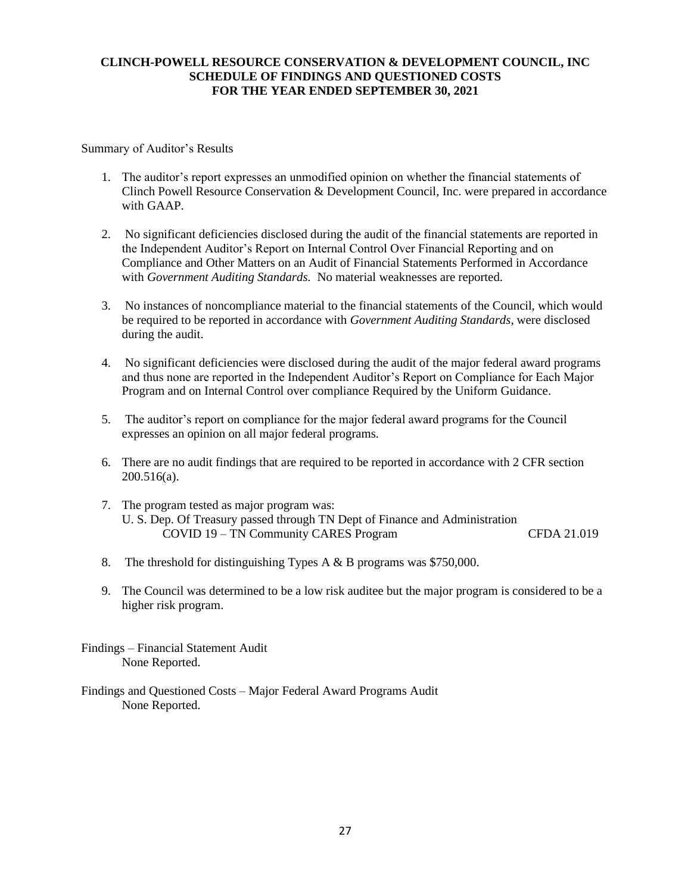## **CLINCH-POWELL RESOURCE CONSERVATION & DEVELOPMENT COUNCIL, INC SCHEDULE OF FINDINGS AND QUESTIONED COSTS FOR THE YEAR ENDED SEPTEMBER 30, 2021**

Summary of Auditor's Results

- 1. The auditor's report expresses an unmodified opinion on whether the financial statements of Clinch Powell Resource Conservation & Development Council, Inc. were prepared in accordance with GAAP.
- 2. No significant deficiencies disclosed during the audit of the financial statements are reported in the Independent Auditor's Report on Internal Control Over Financial Reporting and on Compliance and Other Matters on an Audit of Financial Statements Performed in Accordance with *Government Auditing Standards.* No material weaknesses are reported.
- 3. No instances of noncompliance material to the financial statements of the Council, which would be required to be reported in accordance with *Government Auditing Standards,* were disclosed during the audit.
- 4. No significant deficiencies were disclosed during the audit of the major federal award programs and thus none are reported in the Independent Auditor's Report on Compliance for Each Major Program and on Internal Control over compliance Required by the Uniform Guidance.
- 5. The auditor's report on compliance for the major federal award programs for the Council expresses an opinion on all major federal programs.
- 6. There are no audit findings that are required to be reported in accordance with 2 CFR section 200.516(a).
- 7. The program tested as major program was: U. S. Dep. Of Treasury passed through TN Dept of Finance and Administration COVID 19 – TN Community CARES Program CFDA 21.019
- 8. The threshold for distinguishing Types A & B programs was \$750,000.
- 9. The Council was determined to be a low risk auditee but the major program is considered to be a higher risk program.
- Findings Financial Statement Audit None Reported.
- Findings and Questioned Costs Major Federal Award Programs Audit None Reported.